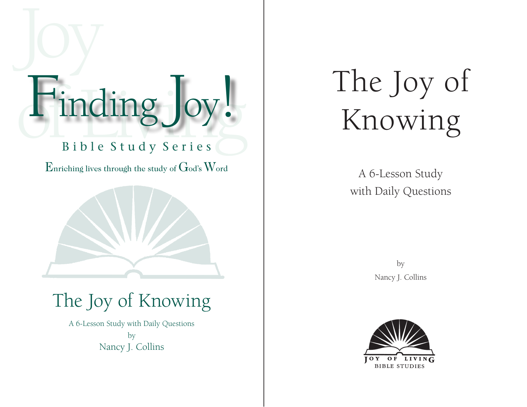# Finding Joy! Finding Joy!

# B i b l e S t u d y S e r i e s

Enriching lives through the study of  $G$ od's  $W$ ord



# The Joy of Knowing

A 6-Lesson Study with Daily Questions by Nancy J. Collins

# The Joy of Knowing

A 6-Lesson Study with Daily Questions

> by Nancy J. Collins

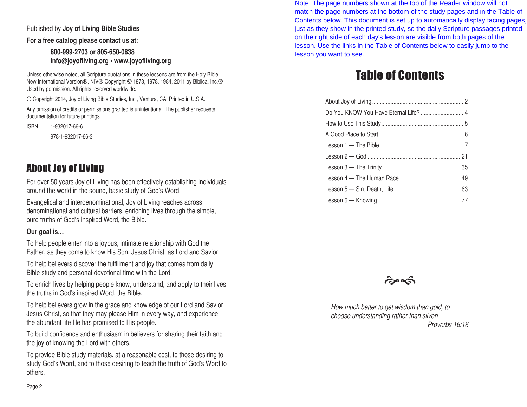### Published by **Joy of Living Bible Studies**

**For a free catalog please contact us at:**

### **800-999-2703 or 805-650-0838 info@joyofliving.org • www.joyofliving.org**

Unless otherwise noted, all Scripture quotations in these lessons are from the Holy Bible, New International Version®, NIV® Copyright © 1973, 1978, 1984, 2011 by Biblica, Inc.® Used by permission. All rights reserved worldwide.

© Copyright 2014, Joy of Living Bible Studies, Inc., Ventura, CA. Printed in U.S.A.

Any omission of credits or permissions granted is unintentional. The publisher requests documentation for future printings.

ISBN 1-932017-66-6

978-1-932017-66-3

# About Joy of Living

For over 50 years Joy of Living has been effectively establishing individuals around the world in the sound, basic study of God's Word.

Evangelical and interdenominational, Joy of Living reaches across denominational and cultural barriers, enriching lives through the simple, pure truths of God's inspired Word, the Bible.

### **Our goal is…**

To help people enter into a joyous, intimate relationship with God the Father, as they come to know His Son, Jesus Christ, as Lord and Savior.

To help believers discover the fulfillment and joy that comes from daily Bible study and personal devotional time with the Lord.

To enrich lives by helping people know, understand, and apply to their lives the truths in God's inspired Word, the Bible.

To help believers grow in the grace and knowledge of our Lord and Savior Jesus Christ, so that they may please Him in every way, and experience the abundant life He has promised to His people.

To build confidence and enthusiasm in believers for sharing their faith and the joy of knowing the Lord with others.

To provide Bible study materials, at a reasonable cost, to those desiring to study God's Word, and to those desiring to teach the truth of God's Word to others.

Note: The page numbers shown at the top of the Reader window will not match the page numbers at the bottom of the study pages and in the Table of Contents below. This document is set up to automatically display facing pages, just as they show in the printed study, so the daily Scripture passages printed on the right side of each day's lesson are visible from both pages of the lesson. Use the links in the Table of Contents below to easily jump to the lesson you want to see.

# Table of Contents

| Do You KNOW You Have Eternal Life?  4 |  |
|---------------------------------------|--|
|                                       |  |
|                                       |  |
|                                       |  |
|                                       |  |
|                                       |  |
|                                       |  |
|                                       |  |
|                                       |  |
|                                       |  |



How much better to get wisdom than gold, to choose understanding rather than silver! Proverbs 16:16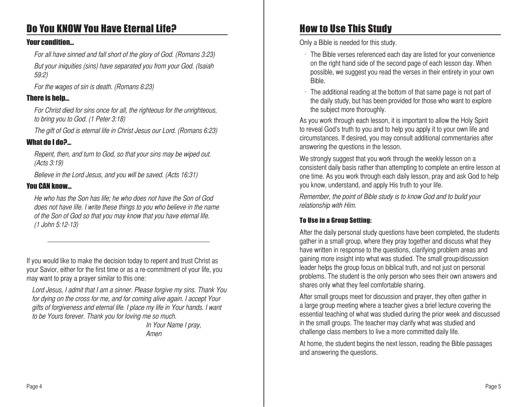# <span id="page-2-0"></span>Do You KNOW You Have Eternal Life?

### Your condition…

For all have sinned and fall short of the glory of God. (Romans 3:23) But your iniquities (sins) have separated you from your God. (Isaiah

For the wages of sin is death. (Romans 6:23)

### There is help…

59:2)

For Christ died for sins once for all, the righteous for the unrighteous, to bring you to God. (1 Peter 3:18)

The gift of God is eternal life in Christ Jesus our Lord. (Romans 6:23)

### What do I do?…

Repent, then, and turn to God, so that your sins may be wiped out. (Acts 3:19)

Believe in the Lord Jesus, and you will be saved. (Acts 16:31)

### You CAN know…

He who has the Son has life; he who does not have the Son of God does not have life. I write these things to you who believe in the name of the Son of God so that you may know that you have eternal life. (1 John 5:12-13)

If you would like to make the decision today to repent and trust Christ as your Savior, either for the first time or as a re-commitment of your life, you may want to pray a prayer similar to this one:

Lord Jesus, I admit that I am a sinner. Please forgive my sins. Thank You for dying on the cross for me, and for coming alive again. I accept Your gifts of forgiveness and eternal life. I place my life in Your hands. I want to be Yours forever. Thank you for loving me so much.

In Your Name I pray, Amen

# How to Use This Study

Only a Bible is needed for this study.

- $\cdot$  The Bible verses referenced each day are listed for your convenience on the right hand side of the second page of each lesson day. When possible, we suggest you read the verses in their entirety in your own Bible.
- $\cdot$  The additional reading at the bottom of that same page is not part of the daily study, but has been provided for those who want to explore the subject more thoroughly.

As you work through each lesson, it is important to allow the Holy Spirit to reveal God's truth to you and to help you apply it to your own life and circumstances. If desired, you may consult additional commentaries after answering the questions in the lesson.

We strongly suggest that you work through the weekly lesson on a consistent daily basis rather than attempting to complete an entire lesson at one time. As you work through each daily lesson, pray and ask God to help you know, understand, and apply His truth to your life.

Remember, the point of Bible study is to know God and to build your relationship with Him.

### To Use in a Group Setting:

After the daily personal study questions have been completed, the students gather in a small group, where they pray together and discuss what they have written in response to the questions, clarifying problem areas and gaining more insight into what was studied. The small group/discussion leader helps the group focus on biblical truth, and not just on personal problems. The student is the only person who sees their own answers and shares only what they feel comfortable sharing.

After small groups meet for discussion and prayer, they often gather in a large group meeting where a teacher gives a brief lecture covering the essential teaching of what was studied during the prior week and discussed in the small groups. The teacher may clarify what was studied and challenge class members to live a more committed daily life.

At home, the student begins the next lesson, reading the Bible passages and answering the questions.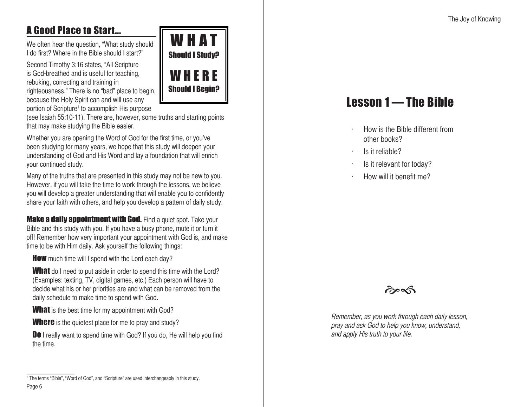# <span id="page-3-0"></span>A Good Place to Start...

We often hear the question, "What study should I do first? Where in the Bible should I start?"

Second Timothy 3:16 states, "All Scripture is God-breathed and is useful for teaching, rebuking, correcting and training in righteousness." There is no "bad" place to begin, because the Holy Spirit can and will use any portion of Scripture<sup>1</sup> to accomplish His purpose



(see Isaiah 55:10-11). There are, however, some truths and starting points that may make studying the Bible easier.

Whether you are opening the Word of God for the first time, or you've been studying for many years, we hope that this study will deepen your understanding of God and His Word and lay a foundation that will enrich your continued study.

Many of the truths that are presented in this study may not be new to you. However, if you will take the time to work through the lessons, we believe you will develop a greater understanding that will enable you to confidently share your faith with others, and help you develop a pattern of daily study.

**Make a daily appointment with God.** Find a quiet spot. Take your Bible and this study with you. If you have a busy phone, mute it or turn it off! Remember how very important your appointment with God is, and make time to be with Him daily. Ask yourself the following things:

**How** much time will I spend with the Lord each day?

**What** do I need to put aside in order to spend this time with the Lord? (Examples: texting, TV, digital games, etc.) Each person will have to decide what his or her priorities are and what can be removed from the daily schedule to make time to spend with God.

**What** is the best time for my appointment with God?

**Where** is the quietest place for me to pray and study?

Do I really want to spend time with God? If you do, He will help you find the time.

# Lesson 1 — The Bible

- How is the Bible different from other books?
- ls it reliable?
- Is it relevant for today?
- How will it benefit me?



Remember, as you work through each daily lesson, pray and ask God to help you know, understand, and apply His truth to your life.

Page 6 <sup>1</sup> The terms "Bible", "Word of God", and "Scripture" are used interchangeably in this study.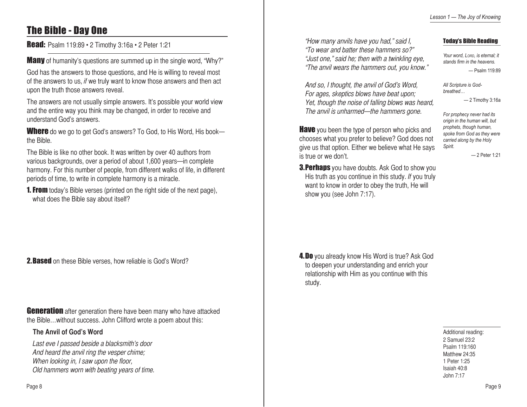# The Bible - Day One

**Read:** Psalm 119:89 • 2 Timothy 3:16a • 2 Peter 1:21

**Many** of humanity's questions are summed up in the single word, "Why?"

God has the answers to those questions, and He is willing to reveal most of the answers to us, if we truly want to know those answers and then act upon the truth those answers reveal.

The answers are not usually simple answers. It's possible your world view and the entire way you think may be changed, in order to receive and understand God's answers.

**Where** do we go to get God's answers? To God, to His Word, His book the Bible.

The Bible is like no other book. It was written by over 40 authors from various backgrounds, over a period of about 1,600 years—in complete harmony. For this number of people, from different walks of life, in different periods of time, to write in complete harmony is a miracle.

**1. From** today's Bible verses (printed on the right side of the next page), what does the Bible say about itself?

**2. Based** on these Bible verses, how reliable is God's Word?

**Generation** after generation there have been many who have attacked the Bible…without success. John Clifford wrote a poem about this:

### **The Anvil of God's Word**

Last eve I passed beside a blacksmith's door And heard the anvil ring the vesper chime; When looking in, I saw upon the floor, Old hammers worn with beating years of time. "How many anvils have you had," said I, "To wear and batter these hammers so?" "Just one," said he; then with a twinkling eye, "The anvil wears the hammers out, you know."

### Today's Bible Reading

*Your word, Lord, is eternal; it stands firm in the heavens.* — Psalm 119:89

— 2 Timothy 3:16a

— 2 Peter 1:21

*All Scripture is Godbreathed…*

*Spirit.*

*For prophecy never had its origin in the human will, but prophets, though human, spoke from God as they were carried along by the Holy* 

And so, I thought, the anvil of God's Word, For ages, skeptics blows have beat upon; Yet, though the noise of falling blows was heard, The anvil is unharmed—the hammers gone.

**Have** you been the type of person who picks and chooses what you prefer to believe? God does not give us that option. Either we believe what He says is true or we don't.

**3. Perhaps** you have doubts. Ask God to show you His truth as you continue in this study. If you truly want to know in order to obey the truth, He will show you (see John 7:17).

**4.Do** you already know His Word is true? Ask God to deepen your understanding and enrich your relationship with Him as you continue with this study.

> Additional reading: 2 Samuel 23:2 Psalm 119:160 Matthew 24:35 1 Peter 1:25 Isaiah 40:8 John 7:17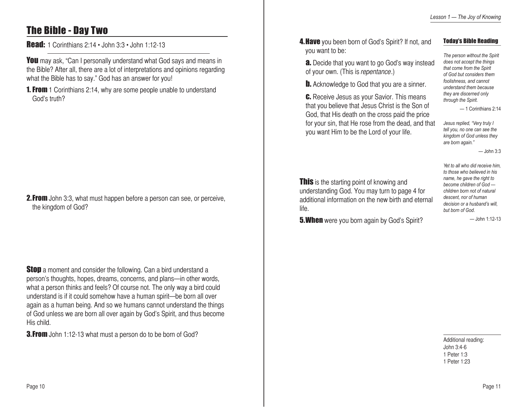# The Bible - Day Two

### Read: 1 Corinthians 2:14 • John 3:3 • John 1:12-13

You may ask, "Can I personally understand what God says and means in the Bible? After all, there are a lot of interpretations and opinions regarding what the Bible has to say." God has an answer for you!

**1. From** 1 Corinthians 2:14, why are some people unable to understand God's truth?

### **2. From** John 3:3, what must happen before a person can see, or perceive, the kingdom of God?

**Stop** a moment and consider the following. Can a bird understand a person's thoughts, hopes, dreams, concerns, and plans—in other words, what a person thinks and feels? Of course not. The only way a bird could understand is if it could somehow have a human spirit—be born all over again as a human being. And so we humans cannot understand the things of God unless we are born all over again by God's Spirit, and thus become His child.

**3.From** John 1:12-13 what must a person do to be born of God?

**4. Have** you been born of God's Spirit? If not, and you want to be:

### **a.** Decide that you want to go God's way instead of your own. (This is repentance.)

**b.** Acknowledge to God that you are a sinner.

**C.** Receive Jesus as your Savior. This means that you believe that Jesus Christ is the Son of God, that His death on the cross paid the price for your sin, that He rose from the dead, and that you want Him to be the Lord of your life.

Today's Bible Reading

*The person without the Spirit does not accept the things that come from the Spirit of God but considers them foolishness, and cannot understand them because they are discerned only through the Spirit.*

— 1 Corinthians 2:14

*Jesus replied, "Very truly I tell you, no one can see the kingdom of God unless they are born again."* 

— John 3:3

**This** is the starting point of knowing and understanding God. You may turn to page 4 for additional information on the new birth and eternal life.

**5. When** were you born again by God's Spirit?

*name, he gave the right to become children of God children born not of natural descent, nor of human decision or a husband's will, but born of God.*

*Yet to all who did receive him, to those who believed in his* 

 $-$ John 1:12-13

Additional reading: John 3:4-6 1 Peter 1:3 1 Peter 1:23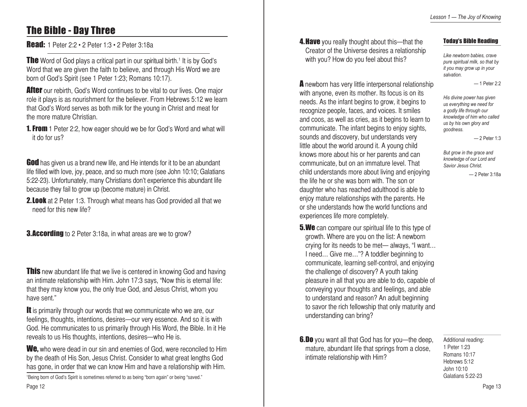# The Bible - Day Three

Read: 1 Peter 2:2 • 2 Peter 1:3 • 2 Peter 3:18a

**The** Word of God plays a critical part in our spiritual birth.<sup>1</sup> It is by God's Word that we are given the faith to believe, and through His Word we are born of God's Spirit (see 1 Peter 1:23; Romans 10:17).

**After** our rebirth, God's Word continues to be vital to our lives. One major role it plays is as nourishment for the believer. From Hebrews 5:12 we learn that God's Word serves as both milk for the young in Christ and meat for the more mature Christian.

**1. From** 1 Peter 2:2, how eager should we be for God's Word and what will it do for us?

**God** has given us a brand new life, and He intends for it to be an abundant life filled with love, joy, peace, and so much more (see John 10:10; Galatians 5:22-23). Unfortunately, many Christians don't experience this abundant life because they fail to grow up (become mature) in Christ.

**2. Look** at 2 Peter 1:3. Through what means has God provided all that we need for this new life?

**3.According** to 2 Peter 3:18a, in what areas are we to grow?

**This** new abundant life that we live is centered in knowing God and having an intimate relationship with Him. John 17:3 says, "Now this is eternal life: that they may know you, the only true God, and Jesus Christ, whom you have sent."

It is primarily through our words that we communicate who we are, our feelings, thoughts, intentions, desires—our very essence. And so it is with God. He communicates to us primarily through His Word, the Bible. In it He reveals to us His thoughts, intentions, desires—who He is.

We, who were dead in our sin and enemies of God, were reconciled to Him by the death of His Son, Jesus Christ. Consider to what great lengths God has gone, in order that we can know Him and have a relationship with Him.

1 Being born of God's Spirit is sometimes referred to as being "born again" or being "saved."

**4. Have** you really thought about this—that the Creator of the Universe desires a relationship with you? How do you feel about this?

A newborn has very little interpersonal relationship with anyone, even its mother. Its focus is on its needs. As the infant begins to grow, it begins to recognize people, faces, and voices. It smiles and coos, as well as cries, as it begins to learn to communicate. The infant begins to enjoy sights, sounds and discovery, but understands very little about the world around it. A young child knows more about his or her parents and can communicate, but on an immature level. That child understands more about living and enjoying the life he or she was born with. The son or daughter who has reached adulthood is able to enjoy mature relationships with the parents. He or she understands how the world functions and experiences life more completely.

**5.We** can compare our spiritual life to this type of growth. Where are you on the list: A newborn crying for its needs to be met— always, "I want… I need… Give me…"? A toddler beginning to communicate, learning self-control, and enjoying the challenge of discovery? A youth taking pleasure in all that you are able to do, capable of conveying your thoughts and feelings, and able to understand and reason? An adult beginning to savor the rich fellowship that only maturity and understanding can bring?

**6.Do** you want all that God has for you—the deep, mature, abundant life that springs from a close, intimate relationship with Him?

#### Today's Bible Reading

*Like newborn babies, crave pure spiritual milk, so that by it you may grow up in your salvation.*

 $-1$  Peter  $2.2$ 

*His divine power has given us everything we need for a godly life through our knowledge of him who called us by his own glory and goodness.*

— 2 Peter 1:3

*But grow in the grace and knowledge of our Lord and Savior Jesus Christ.* 

— 2 Peter 3:18a

Additional reading: 1 Peter 1:23 Romans 10:17 Hebrews 5:12 John 10:10 Galatians 5:22-23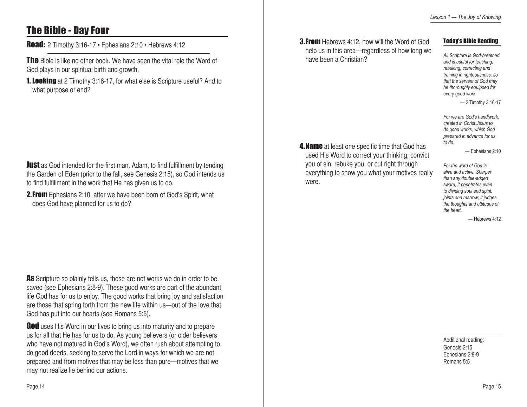# The Bible - Day Four

Read: 2 Timothy 3:16-17 · Ephesians 2:10 · Hebrews 4:12

**The** Bible is like no other book. We have seen the vital role the Word of God plays in our spiritual birth and growth.

**1. Looking** at 2 Timothy 3:16-17, for what else is Scripture useful? And to what purpose or end?

**Just** as God intended for the first man, Adam, to find fulfillment by tending the Garden of Eden (prior to the fall, see Genesis 2:15), so God intends us to find fulfillment in the work that He has given us to do.

**2. From** Ephesians 2:10, after we have been born of God's Spirit, what does God have planned for us to do?

As Scripture so plainly tells us, these are not works we do in order to be saved (see Ephesians 2:8-9). These good works are part of the abundant life God has for us to enjoy. The good works that bring joy and satisfaction are those that spring forth from the new life within us—out of the love that God has put into our hearts (see Romans 5:5).

**God** uses His Word in our lives to bring us into maturity and to prepare us for all that He has for us to do. As young believers (or older believers who have not matured in God's Word), we often rush about attempting to do good deeds, seeking to serve the Lord in ways for which we are not prepared and from motives that may be less than pure—motives that we may not realize lie behind our actions.

**3. From** Hebrews 4:12, how will the Word of God help us in this area—regardless of how long we have been a Christian?

**4. Name** at least one specific time that God has used His Word to correct your thinking, convict you of sin, rebuke you, or cut right through everything to show you what your motives really

were.

### Today's Bible Reading

*All Scripture is God-breathed and is useful for teaching, rebuking, correcting and training in righteousness, so that the servant of God may be thoroughly equipped for every good work.*

— 2 Timothy 3:16-17

*For we are God's handiwork, created in Christ Jesus to do good works, which God prepared in advance for us to do.*

— Ephesians 2:10

*For the word of God is alive and active. Sharper than any double-edged sword, it penetrates even to dividing soul and spirit, joints and marrow; it judges the thoughts and attitudes of the heart.*

— Hebrews 4:12

Additional reading: Genesis 2:15 Ephesians 2:8-9 Romans 5:5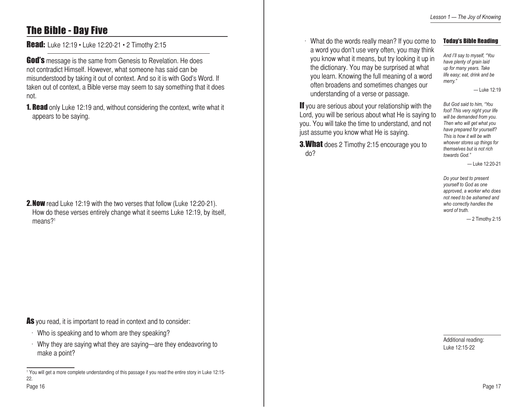# The Bible - Day Five

**Read:** Luke 12:19 • Luke 12:20-21 • 2 Timothy 2:15

**God's** message is the same from Genesis to Revelation. He does not contradict Himself. However, what someone has said can be misunderstood by taking it out of context. And so it is with God's Word. If taken out of context, a Bible verse may seem to say something that it does not.

**1. Read** only Luke 12:19 and, without considering the context, write what it appears to be saying.

2.Now read Luke 12:19 with the two verses that follow (Luke 12:20-21). How do these verses entirely change what it seems Luke 12:19, by itself, means?<sup>1</sup>

As you read, it is important to read in context and to consider:

- Who is speaking and to whom are they speaking?
- Why they are saying what they are saying—are they endeavoring to make a point?

 $\cdot$  What do the words really mean? If you come to a word you don't use very often, you may think you know what it means, but try looking it up in the dictionary. You may be surprised at what you learn. Knowing the full meaning of a word often broadens and sometimes changes our understanding of a verse or passage.

### Today's Bible Reading

*And I'll say to myself, "You have plenty of grain laid up for many years. Take life easy; eat, drink and be merry."*

— Luke 12:19

If you are serious about your relationship with the Lord, you will be serious about what He is saying to you. You will take the time to understand, and not just assume you know what He is saying.

**3. What** does 2 Timothy 2:15 encourage you to do?

*But God said to him, "You fool! This very night your life will be demanded from you. Then who will get what you have prepared for yourself? This is how it will be with whoever stores up things for themselves but is not rich towards God."*

— Luke 12:20-21

*Do your best to present yourself to God as one approved, a worker who does not need to be ashamed and who correctly handles the word of truth.*

— 2 Timothy 2:15

Additional reading: Luke 12:15-22

<sup>1</sup> You will get a more complete understanding of this passage if you read the entire story in Luke 12:15- 22.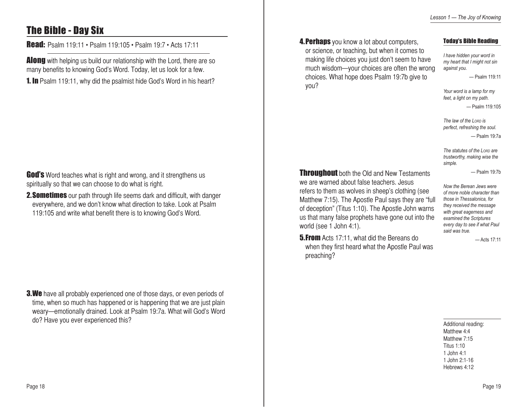# The Bible - Day Six

Read: Psalm 119:11 • Psalm 119:105 • Psalm 19:7 • Acts 17:11

**Along** with helping us build our relationship with the Lord, there are so many benefits to knowing God's Word. Today, let us look for a few.

**1. In** Psalm 119:11, why did the psalmist hide God's Word in his heart?

**God's** Word teaches what is right and wrong, and it strengthens us spiritually so that we can choose to do what is right.

**2. Sometimes** our path through life seems dark and difficult, with danger everywhere, and we don't know what direction to take. Look at Psalm 119:105 and write what benefit there is to knowing God's Word.

**3.We** have all probably experienced one of those days, or even periods of time, when so much has happened or is happening that we are just plain weary—emotionally drained. Look at Psalm 19:7a. What will God's Word do? Have you ever experienced this?

**4. Perhaps** you know a lot about computers, or science, or teaching, but when it comes to making life choices you just don't seem to have much wisdom—your choices are often the wrong choices. What hope does Psalm 19:7b give to you?

### Today's Bible Reading

*I have hidden your word in my heart that I might not sin against you.* — Psalm 119:11

*Your word is a lamp for my feet, a light on my path.*

— Psalm 119:105

*The law of the Lord is perfect, refreshing the soul.*  — Psalm 19:7a

*The statutes of the Lord are trustworthy, making wise the simple.*

— Psalm 19:7b

**Throughout** both the Old and New Testaments we are warned about false teachers. Jesus refers to them as wolves in sheep's clothing (see Matthew 7:15). The Apostle Paul says they are "full of deception" (Titus 1:10). The Apostle John warns us that many false prophets have gone out into the world (see 1 John 4:1).

**5. From** Acts 17:11, what did the Bereans do when they first heard what the Apostle Paul was preaching?

*Now the Berean Jews were of more noble character than those in Thessalonica, for they received the message with great eagerness and examined the Scriptures every day to see if what Paul said was true.*

— Acts 17:11

Additional reading: Matthew 4:4 Matthew 7:15 Titus 1:10 1 John 4:1 1 John 2:1-16 Hebrews 4:12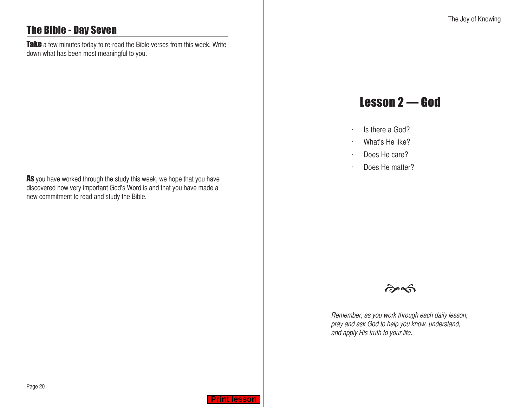# <span id="page-10-0"></span>The Bible - Day Seven

Take a few minutes today to re-read the Bible verses from this week. Write down what has been most meaningful to you.

As you have worked through the study this week, we hope that you have discovered how very important God's Word is and that you have made a new commitment to read and study the Bible.

# Lesson 2 — God

- $\cdot$  Is there a God?
- $\cdot$  What's He like?
- $\cdot$  Does He care?
- $\cdot$  Does He matter?



Remember, as you work through each daily lesson, pray and ask God to help you know, understand, and apply His truth to your life.

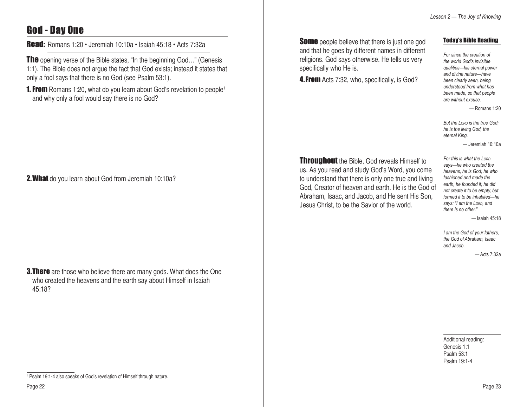# God - Day One

Read: Romans 1:20 • Jeremiah 10:10a • Isaiah 45:18 • Acts 7:32a

The opening verse of the Bible states, "In the beginning God..." (Genesis 1:1). The Bible does not argue the fact that God exists; instead it states that only a fool says that there is no God (see Psalm 53:1).

**1. From** Romans 1:20, what do you learn about God's revelation to people<sup>1</sup> and why only a fool would say there is no God?

2. What do you learn about God from Jeremiah 10:10a?

**3. There** are those who believe there are many gods. What does the One who created the heavens and the earth say about Himself in Isaiah 45:18?

**Some** people believe that there is just one god and that he goes by different names in different religions. God says otherwise. He tells us very specifically who He is.

**4. From** Acts 7:32, who, specifically, is God?

### Today's Bible Reading

*For since the creation of the world God's invisible qualities—his eternal power and divine nature—have been clearly seen, being understood from what has been made, so that people are without excuse.*

 $-$  Romans 1:20

*But the Lord is the true God; he is the living God, the eternal King.* 

— Jeremiah 10:10a

**Throughout** the Bible, God reveals Himself to us. As you read and study God's Word, you come to understand that there is only one true and living God, Creator of heaven and earth. He is the God of Abraham, Isaac, and Jacob, and He sent His Son, Jesus Christ, to be the Savior of the world.

*For this is what the Lord says—he who created the heavens, he is God; he who fashioned and made the earth, he founded it; he did not create it to be empty, but formed it to be inhabited—he says: "I am the Lord, and there is no other."*

— Isaiah 45:18

*I am the God of your fathers, the God of Abraham, Isaac and Jacob.*

— Acts 7:32a

Additional reading: Genesis 1:1 Psalm 53:1 Psalm 19:1-4

<sup>&</sup>lt;sup>1</sup> Psalm 19:1-4 also speaks of God's revelation of Himself through nature.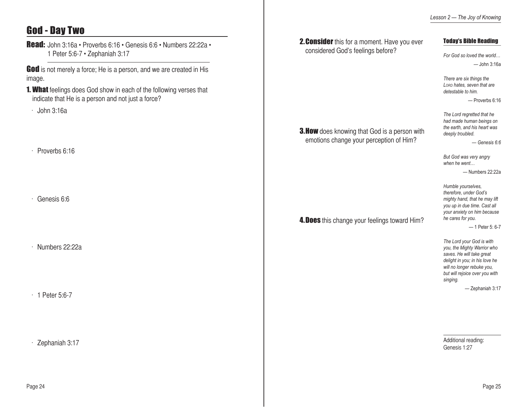# God - Day Two

Read: John 3:16a • Proverbs 6:16 • Genesis 6:6 • Numbers 22:22a • 1 Peter 5:6-7 • Zephaniah 3:17

God is not merely a force; He is a person, and we are created in His image.

- **1. What** feelings does God show in each of the following verses that indicate that He is a person and not just a force?
- $\cdot$  John 3:16a
- $\cdot$  Proverbs 6:16
- $\cdot$  Genesis 6:6

 $\cdot$  Numbers 22:22a

 $\cdot$  1 Peter 5:6-7

 $\cdot$  Zephaniah 3:17

|                                                                                                 | Lesson 2- The Joy of Knowing                                                                                                                                                                                                                                                                                                                                                                                      |
|-------------------------------------------------------------------------------------------------|-------------------------------------------------------------------------------------------------------------------------------------------------------------------------------------------------------------------------------------------------------------------------------------------------------------------------------------------------------------------------------------------------------------------|
| 2. Consider this for a moment. Have you ever<br>considered God's feelings before?               | <b>Today's Bible Reading</b><br>For God so loved the world<br>— John 3:16a                                                                                                                                                                                                                                                                                                                                        |
| <b>3. How</b> does knowing that God is a person with<br>emotions change your perception of Him? | There are six things the<br>LORD hates, seven that are<br>detestable to him.<br>- Proverbs 6:16<br>The Lord regretted that he<br>had made human beings on<br>the earth, and his heart was<br>deeply troubled.<br>$-$ Genesis 6:6<br>But God was very angry<br>when he went<br>-Numbers 22:22a                                                                                                                     |
| 4. Does this change your feelings toward Him?                                                   | Humble yourselves,<br>therefore, under God's<br>mighty hand, that he may lift<br>you up in due time. Cast all<br>your anxiety on him because<br>he cares for you.<br>$-1$ Peter 5: 6-7<br>The Lord your God is with<br>you, the Mighty Warrior who<br>saves. He will take great<br>delight in you; in his love he<br>will no longer rebuke you,<br>but will rejoice over you with<br>singing.<br>- Zephaniah 3:17 |
|                                                                                                 | Additional reading:<br>Genesis 1:27                                                                                                                                                                                                                                                                                                                                                                               |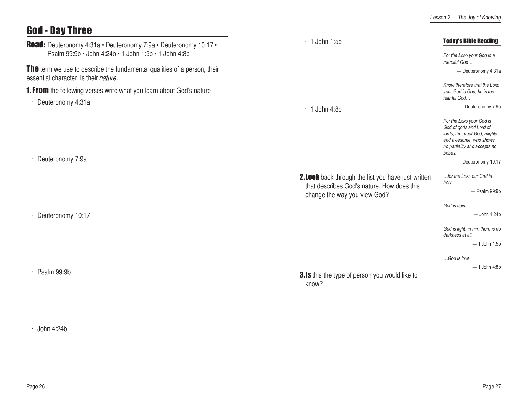# God - Day Three

| <b>Read:</b> Deuteronomy 4:31a · Deuteronomy 7:9a · Deuteronomy 10:17 ·<br>Psalm 99:9b · John 4:24b · 1 John 1:5b · 1 John 4:8b | $\cdot$ 1 John 1:5b                                                                                                                      | <b>Today's Bible Reading</b><br>For the Lorp your God is a                                                                                               |
|---------------------------------------------------------------------------------------------------------------------------------|------------------------------------------------------------------------------------------------------------------------------------------|----------------------------------------------------------------------------------------------------------------------------------------------------------|
| <b>The</b> term we use to describe the fundamental qualities of a person, their<br>essential character, is their nature.        |                                                                                                                                          | merciful God<br>- Deuteronomy 4:31a                                                                                                                      |
| <b>1. From</b> the following verses write what you learn about God's nature:                                                    |                                                                                                                                          | Know therefore that the LORD<br>your God is God; he is the<br>faithful God                                                                               |
| Deuteronomy 4:31a                                                                                                               | $\cdot$ 1 John 4:8b                                                                                                                      | - Deuteronomy 7:9a                                                                                                                                       |
|                                                                                                                                 |                                                                                                                                          | For the Lorp your God is<br>God of gods and Lord of<br>lords, the great God, mighty<br>and awesome, who shows<br>no partiality and accepts no<br>bribes. |
| Deuteronomy 7:9a                                                                                                                |                                                                                                                                          | - Deuteronomy 10:17                                                                                                                                      |
|                                                                                                                                 | <b>2. Look</b> back through the list you have just written<br>that describes God's nature. How does this<br>change the way you view God? | for the Lorp our God is<br>holy.<br>- Psalm 99:9b                                                                                                        |
| Deuteronomy 10:17                                                                                                               |                                                                                                                                          | God is spirit<br>- John 4:24b                                                                                                                            |
|                                                                                                                                 |                                                                                                                                          | God is light; in him there is no<br>darkness at all.<br>$-1$ John 1:5b                                                                                   |
|                                                                                                                                 |                                                                                                                                          | God is love.<br>$-1$ John 4:8b                                                                                                                           |
| $\cdot$ Psalm 99:9b                                                                                                             | <b>3.Is</b> this the type of person you would like to<br>know?                                                                           |                                                                                                                                                          |
|                                                                                                                                 |                                                                                                                                          |                                                                                                                                                          |
| $\cdot$ John 4:24b                                                                                                              |                                                                                                                                          |                                                                                                                                                          |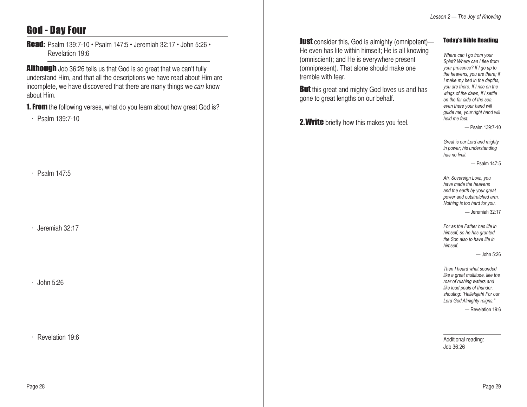# God - Day Four

Read: Psalm 139:7-10 • Psalm 147:5 • Jeremiah 32:17 • John 5:26 • Revelation 19:6

**Although** Job 36:26 tells us that God is so great that we can't fully understand Him, and that all the descriptions we have read about Him are incomplete, we have discovered that there are many things we can know about Him.

**1. From** the following verses, what do you learn about how great God is?

 $\cdot$  Psalm 139.7-10

 $\cdot$  Psalm 147:5

Jeremiah 32:17

John 5:26

Revelation 19:6

**Just** consider this, God is almighty (omnipotent)-He even has life within himself; He is all knowing (omniscient); and He is everywhere present (omnipresent). That alone should make one tremble with fear.

**But** this great and mighty God loves us and has gone to great lengths on our behalf.

2. Write briefly how this makes you feel.

### Today's Bible Reading

*Where can I go from your Spirit? Where can I flee from your presence? If I go up to the heavens, you are there; if I make my bed in the depths, you are there. If I rise on the wings of the dawn, if I settle on the far side of the sea, even there your hand will guide me, your right hand will hold me fast.*

— Psalm 139:7-10

*Great is our Lord and mighty in power; his understanding has no limit.*

— Psalm 147:5

*Ah, Sovereign Lord, you have made the heavens and the earth by your great power and outstretched arm. Nothing is too hard for you.*

— Jeremiah 32:17

*For as the Father has life in himself, so he has granted the Son also to have life in himself.*

— John 5:26

*Then I heard what sounded like a great multitude, like the roar of rushing waters and like loud peals of thunder, shouting: "Hallelujah! For our Lord God Almighty reigns."*

— Revelation 19:6

Additional reading: Job 36:26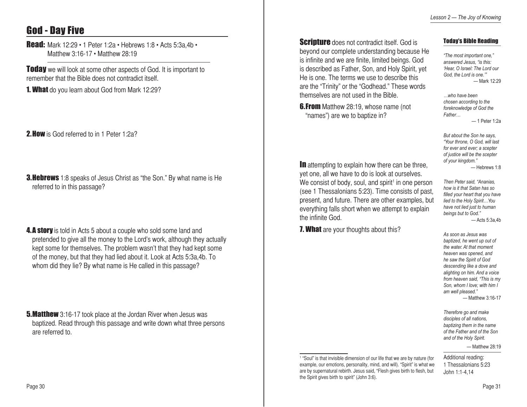# God - Day Five

**Read:** Mark 12:29 • 1 Peter 1:2a • Hebrews 1:8 • Acts 5:3a,4b • Matthew 3:16-17 • Matthew 28:19

**Today** we will look at some other aspects of God. It is important to remember that the Bible does not contradict itself.

**1. What** do you learn about God from Mark 12:29?

2. How is God referred to in 1 Peter 1:2a?

**3. Hebrews** 1:8 speaks of Jesus Christ as "the Son." By what name is He referred to in this passage?

**4.A story** is told in Acts 5 about a couple who sold some land and pretended to give all the money to the Lord's work, although they actually kept some for themselves. The problem wasn't that they had kept some of the money, but that they had lied about it. Look at Acts 5:3a,4b. To whom did they lie? By what name is He called in this passage?

**5.Matthew** 3:16-17 took place at the Jordan River when Jesus was baptized. Read through this passage and write down what three persons are referred to.

**Scripture** does not contradict itself. God is beyond our complete understanding because He is infinite and we are finite, limited beings. God is described as Father, Son, and Holy Spirit, yet He is one. The terms we use to describe this are the "Trinity" or the "Godhead." These words themselves are not used in the Bible.

**6.From** Matthew 28:19, whose name (not "names") are we to baptize in?

In attempting to explain how there can be three, yet one, all we have to do is look at ourselves. We consist of body, soul, and spirit<sup>1</sup> in one person (see 1 Thessalonians 5:23). Time consists of past, present, and future. There are other examples, but everything falls short when we attempt to explain the infinite God.

**7. What** are your thoughts about this?

Today's Bible Reading

*"The most important one," answered Jesus, "is this: 'Hear, O Israel: The Lord our God, the Lord is one.'"* — Mark 12:29

*…who have been chosen according to the foreknowledge of God the Father…*

— 1 Peter 1:2a

*But about the Son he says, "Your throne, O God, will last for ever and ever; a scepter of justice will be the scepter of your kingdom."* — Hebrews 1:8

*Then Peter said, "Ananias, how is it that Satan has so filled your heart that you have lied to the Holy Spirit…You have not lied just to human beings but to God."*  $-$  Acts 5:3a,4b

*As soon as Jesus was baptized, he went up out of the water. At that moment heaven was opened, and he saw the Spirit of God descending like a dove and alighting on him. And a voice from heaven said, "This is my Son, whom I love; with him I am well pleased."* — Matthew 3:16-17

*Therefore go and make disciples of all nations, baptizing them in the name of the Father and of the Son and of the Holy Spirit.*

— Matthew 28:19

Additional reading: 1 Thessalonians 5:23 John 1:1-4,14

<sup>1</sup> "Soul" is that invisible dimension of our life that we are by nature (for example, our emotions, personality, mind, and will). "Spirit" is what we are by supernatural rebirth. Jesus said, "Flesh gives birth to flesh, but the Spirit gives birth to spirit" (John 3:6).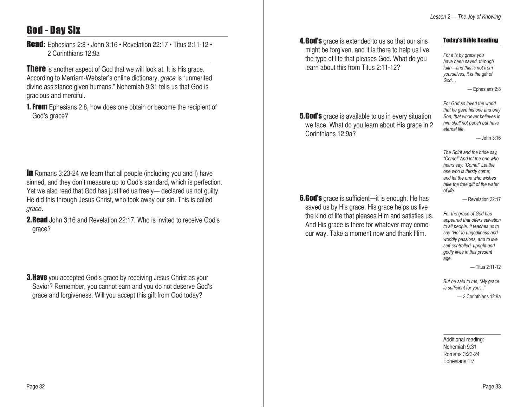# God - Day Six

Read: Ephesians 2:8 • John 3:16 • Revelation 22:17 • Titus 2:11-12 • 2 Corinthians 12:9a

**There** is another aspect of God that we will look at. It is His grace. According to Merriam-Webster's online dictionary, *grace* is "unmerited" divine assistance given humans." Nehemiah 9:31 tells us that God is gracious and merciful.

**1. From** Ephesians 2:8, how does one obtain or become the recipient of God's grace?

**In** Romans 3:23-24 we learn that all people (including you and I) have sinned, and they don't measure up to God's standard, which is perfection. Yet we also read that God has justified us freely— declared us not guilty. He did this through Jesus Christ, who took away our sin. This is called grace.

2.Read John 3:16 and Revelation 22:17. Who is invited to receive God's grace?

**3. Have** you accepted God's grace by receiving Jesus Christ as your Savior? Remember, you cannot earn and you do not deserve God's grace and forgiveness. Will you accept this gift from God today?

**4. God's** grace is extended to us so that our sins might be forgiven, and it is there to help us live the type of life that pleases God. What do you learn about this from Titus 2:11-12?

### Today's Bible Reading

*For it is by grace you have been saved, through faith—and this is not from yourselves, it is the gift of God…*

*For God so loved the world that he gave his one and only Son, that whoever believes in him shall not perish but have* 

*eternal life.*

— Ephesians 2:8

— John 3:16

**5.God's** grace is available to us in every situation we face. What do you learn about His grace in 2 Corinthians 12:9a?

**6.God's** grace is sufficient—it is enough. He has saved us by His grace. His grace helps us live the kind of life that pleases Him and satisfies us. And His grace is there for whatever may come our way. Take a moment now and thank Him.

*The Spirit and the bride say, "Come!" And let the one who hears say, "Come!" Let the one who is thirsty come; and let the one who wishes take the free gift of the water of life.*

— Revelation 22:17

*For the grace of God has appeared that offers salvation to all people. It teaches us to say "No" to ungodliness and worldly passions, and to live self-controlled, upright and godly lives in this present age.*

— Titus 2:11-12

*But he said to me, "My grace is sufficient for you…"*

— 2 Corinthians 12:9a

Additional reading: Nehemiah 9:31 Romans 3:23-24 Ephesians 1:7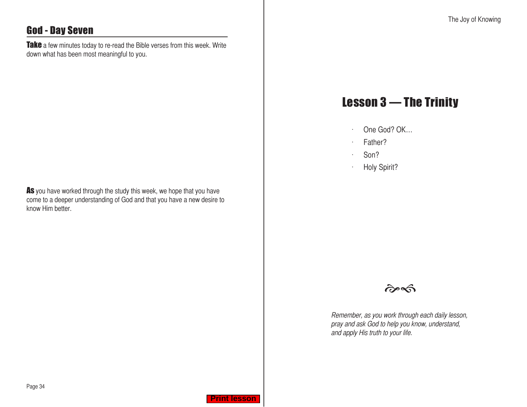# <span id="page-17-0"></span>God - Day Seven

Take a few minutes today to re-read the Bible verses from this week. Write down what has been most meaningful to you.

As you have worked through the study this week, we hope that you have come to a deeper understanding of God and that you have a new desire to know Him better.

# Lesson 3 — The Trinity

- $\cdot$  One God? OK...
- $\cdot$  Father?
- $\cdot$  Son?
- · Holy Spirit?



Remember, as you work through each daily lesson, pray and ask God to help you know, understand, and apply His truth to your life.

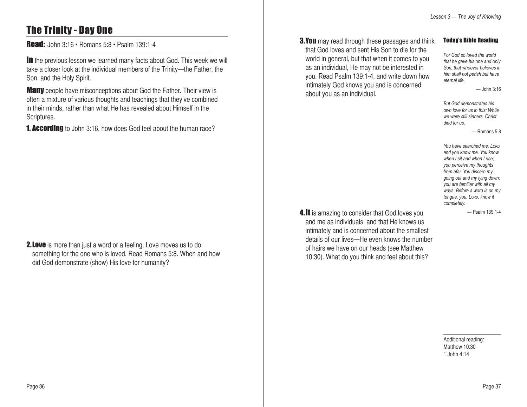# The Trinity - Day One

Read: John 3:16 • Romans 5:8 • Psalm 139:1-4

**In** the previous lesson we learned many facts about God. This week we will take a closer look at the individual members of the Trinity—the Father, the Son, and the Holy Spirit.

**Many** people have misconceptions about God the Father. Their view is often a mixture of various thoughts and teachings that they've combined in their minds, rather than what He has revealed about Himself in the Scriptures.

**1. According** to John 3:16, how does God feel about the human race?

**2. Love** is more than just a word or a feeling. Love moves us to do something for the one who is loved. Read Romans 5:8. When and how did God demonstrate (show) His love for humanity?

**3.You** may read through these passages and think that God loves and sent His Son to die for the world in general, but that when it comes to you as an individual, He may not be interested in you. Read Psalm 139:1-4, and write down how intimately God knows you and is concerned about you as an individual.

#### Today's Bible Reading

*For God so loved the world that he gave his one and only Son, that whoever believes in him shall not perish but have eternal life.*

— John 3:16

*But God demonstrates his own love for us in this: While we were still sinners, Christ died for us.* 

— Romans 5:8

*You have searched me, Lord, and you know me. You know when I sit and when I rise; you perceive my thoughts from afar. You discern my going out and my lying down; you are familiar with all my ways. Before a word is on my tongue, you, Lord, know it completely.* 

— Psalm 139:1-4

4. It is amazing to consider that God loves you and me as individuals, and that He knows us intimately and is concerned about the smallest details of our lives—He even knows the number of hairs we have on our heads (see Matthew 10:30). What do you think and feel about this?

> Additional reading: Matthew 10:30 1 John 4:14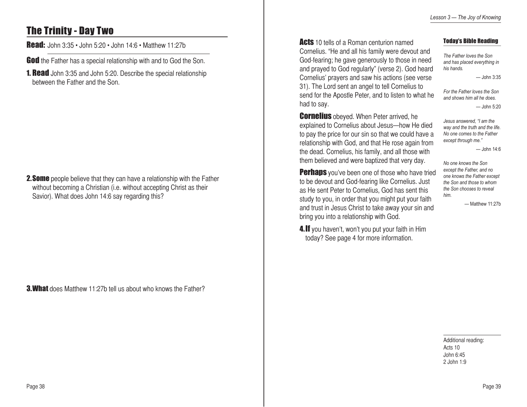# The Trinity - Day Two

Read: John 3:35 • John 5:20 • John 14:6 • Matthew 11:27b

God the Father has a special relationship with and to God the Son.

**1. Read** John 3:35 and John 5:20. Describe the special relationship between the Father and the Son.

**2. Some** people believe that they can have a relationship with the Father without becoming a Christian (i.e. without accepting Christ as their Savior). What does John 14:6 say regarding this?

3.What does Matthew 11:27b tell us about who knows the Father?

**Acts** 10 tells of a Roman centurion named

Cornelius. "He and all his family were devout and God-fearing; he gave generously to those in need and prayed to God regularly" (verse 2). God heard Cornelius' prayers and saw his actions (see verse 31). The Lord sent an angel to tell Cornelius to send for the Apostle Peter, and to listen to what he had to say.

**Cornelius** obeyed. When Peter arrived, he explained to Cornelius about Jesus—how He died to pay the price for our sin so that we could have a relationship with God, and that He rose again from the dead. Cornelius, his family, and all those with them believed and were baptized that very day.

**Perhaps** you've been one of those who have tried to be devout and God-fearing like Cornelius. Just as He sent Peter to Cornelius, God has sent this study to you, in order that you might put your faith and trust in Jesus Christ to take away your sin and bring you into a relationship with God.

4. If you haven't, won't you put your faith in Him today? See page 4 for more information.

#### Today's Bible Reading

*The Father loves the Son and has placed everything in his hands.*

— John 3:35

*For the Father loves the Son and shows him all he does.*

— John 5:20

*Jesus answered, "I am the way and the truth and the life. No one comes to the Father except through me."*

— John 14:6

*No one knows the Son except the Father, and no one knows the Father except the Son and those to whom the Son chooses to reveal him.*

— Matthew 11:27b

Additional reading: Acts 10 John 6:45 2 John 1:9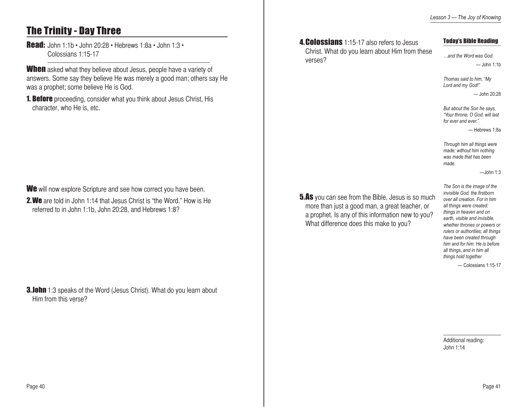# The Trinity - Day Three

Read: John 1:1b • John 20:28 • Hebrews 1:8a • John 1:3 • Colossians 1:15-17

When asked what they believe about Jesus, people have a variety of answers. Some say they believe He was merely a good man; others say He was a prophet; some believe He is God.

**1. Before** proceeding, consider what you think about Jesus Christ, His character, who He is, etc.

We will now explore Scripture and see how correct you have been.

2.We are told in John 1:14 that Jesus Christ is "the Word." How is He referred to in John 1:1b, John 20:28, and Hebrews 1:8?

**3.John** 1:3 speaks of the Word (Jesus Christ). What do you learn about Him from this verse?

**4. Colossians** 1:15-17 also refers to Jesus Christ. What do you learn about Him from these verses?

#### Today's Bible Reading

*…and the Word was God.*  $-$ John 1:1b

*Thomas said to him, "My Lord and my God!"*  $-$ John 20:28

*But about the Son he says, "Your throne, O God, will last for ever and ever."*

— Hebrews 1:8a

*Through him all things were made; without him nothing was made that has been made.*

 $-$ John 1:3

**5.As** you can see from the Bible, Jesus is so much more than just a good man, a great teacher, or a prophet. Is any of this information new to you? What difference does this make to you?

*The Son is the image of the invisible God, the firstborn over all creation. For in him all things were created: things in heaven and on earth, visible and invisible, whether thrones or powers or rulers or authorities; all things have been created through him and for him. He is before all things, and in him all things hold together*

— Colossians 1:15-17

Additional reading: John 1:14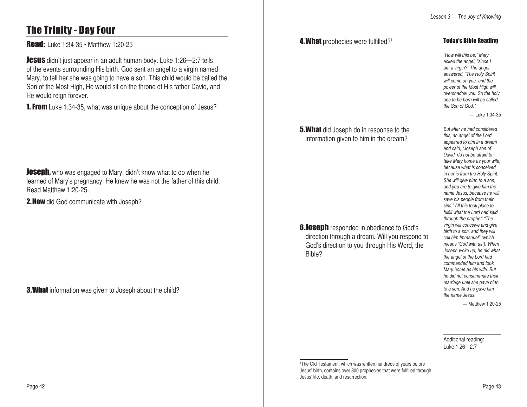### 4. What prophecies were fulfilled?<sup>1</sup>

# The Trinity - Day Four

**Read:** Luke 1:34-35 • Matthew 1:20-25

**Jesus** didn't just appear in an adult human body. Luke 1:26-2:7 tells of the events surrounding His birth. God sent an angel to a virgin named Mary, to tell her she was going to have a son. This child would be called the Son of the Most High, He would sit on the throne of His father David, and He would reign forever.

**1. From** Luke 1:34-35, what was unique about the conception of Jesus?

**Joseph,** who was engaged to Mary, didn't know what to do when he learned of Mary's pregnancy. He knew he was not the father of this child. Read Matthew 1:20-25.

2. How did God communicate with Joseph?

**3. What** information was given to Joseph about the child?

**5. What** did Joseph do in response to the information given to him in the dream?

**6.Joseph** responded in obedience to God's direction through a dream. Will you respond to God's direction to you through His Word, the Bible?

*"How will this be," Mary asked the angel, "since I am a virgin?" The angel answered, "The Holy Spirit will come on you, and the power of the Most High will overshadow you. So the holy one to be born will be called* 

*the Son of God."*

Today's Bible Reading

— Luke 1:34-35

*But after he had considered this, an angel of the Lord appeared to him in a dream and said, "Joseph son of David, do not be afraid to take Mary home as your wife, because what is conceived in her is from the Holy Spirit. She will give birth to a son, and you are to give him the name Jesus, because he will save his people from their sins." All this took place to fulfill what the Lord had said through the prophet: "The virgin will conceive and give birth to a son, and they will call him Immanuel" (which means "God with us"). When Joseph woke up, he did what the angel of the Lord had commanded him and took Mary home as his wife. But he did not consummate their marriage until she gave birth to a son. And he gave him the name Jesus.*

— Matthew 1:20-25

Additional reading: Luke 1:26—2:7

1 The Old Testament, which was written hundreds of years before Jesus' birth, contains over 300 prophecies that were fulfilled through Jesus' life, death, and resurrection.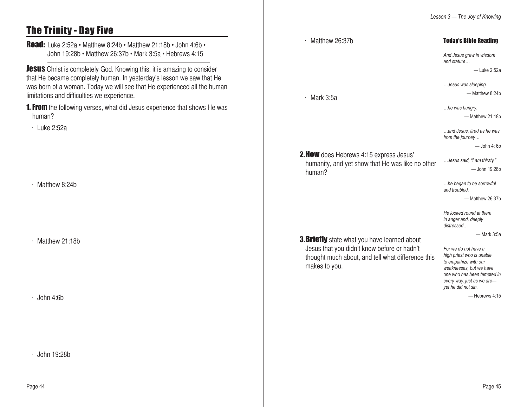# The Trinity - Day Five

Read: Luke 2:52a • Matthew 8:24b • Matthew 21:18b • John 4:6b • John 19:28b • Matthew 26:37b • Mark 3:5a • Hebrews 4:15

**Jesus** Christ is completely God. Knowing this, it is amazing to consider that He became completely human. In yesterday's lesson we saw that He was born of a woman. Today we will see that He experienced all the human limitations and difficulties we experience.

**1. From** the following verses, what did Jesus experience that shows He was human?

 $\cdot$  Luke 2:52a

 $·$  Matthew 8:24b

 $·$  Matthew 21:18b

 $\cdot$  John 4:6b

 $\cdot$  John 19:28b

| Matthew 26:37b                                                                                                                                                           | <b>Today's Bible Reading</b>                                                                                                                                                                               |
|--------------------------------------------------------------------------------------------------------------------------------------------------------------------------|------------------------------------------------------------------------------------------------------------------------------------------------------------------------------------------------------------|
|                                                                                                                                                                          | And Jesus grew in wisdom<br>and stature                                                                                                                                                                    |
|                                                                                                                                                                          | - Luke 2:52a                                                                                                                                                                                               |
|                                                                                                                                                                          | Jesus was sleeping.                                                                                                                                                                                        |
| Mark 3:5a                                                                                                                                                                | - Matthew 8:24b                                                                                                                                                                                            |
|                                                                                                                                                                          | he was hungry.                                                                                                                                                                                             |
|                                                                                                                                                                          | - Matthew 21:18b                                                                                                                                                                                           |
|                                                                                                                                                                          | and Jesus, tired as he was<br>from the journey                                                                                                                                                             |
|                                                                                                                                                                          | — John 4: 6b                                                                                                                                                                                               |
| <b>2. HOW</b> does Hebrews 4:15 express Jesus'<br>humanity, and yet show that He was like no other<br>human?                                                             | Jesus said, "I am thirsty."                                                                                                                                                                                |
|                                                                                                                                                                          | - John 19:28b                                                                                                                                                                                              |
|                                                                                                                                                                          | he began to be sorrowful<br>and troubled.                                                                                                                                                                  |
|                                                                                                                                                                          | - Matthew 26:37b                                                                                                                                                                                           |
|                                                                                                                                                                          | He looked round at them<br>in anger and, deeply<br>distressed                                                                                                                                              |
|                                                                                                                                                                          | - Mark 3:5a                                                                                                                                                                                                |
| <b>3. Briefly</b> state what you have learned about<br>Jesus that you didn't know before or hadn't<br>thought much about, and tell what difference this<br>makes to you. | For we do not have a<br>high priest who is unable<br>to empathize with our<br>weaknesses, but we have<br>one who has been tempted in<br>every way, just as we are-<br>yet he did not sin.<br>-Hebrews 4:15 |
|                                                                                                                                                                          |                                                                                                                                                                                                            |
|                                                                                                                                                                          |                                                                                                                                                                                                            |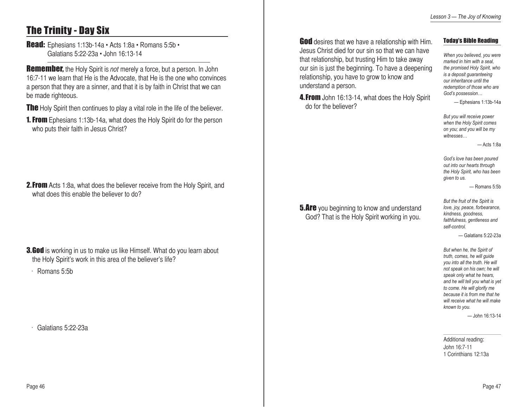# The Trinity - Day Six

Read: Ephesians 1:13b-14a • Acts 1:8a • Romans 5:5b • Galatians 5:22-23a • John 16:13-14

**Remember,** the Holy Spirit is *not* merely a force, but a person. In John 16:7-11 we learn that He is the Advocate, that He is the one who convinces a person that they are a sinner, and that it is by faith in Christ that we can be made righteous.

**The** Holy Spirit then continues to play a vital role in the life of the believer.

**1. From** Ephesians 1:13b-14a, what does the Holy Spirit do for the person who puts their faith in Jesus Christ?

**2. From** Acts 1:8a, what does the believer receive from the Holy Spirit, and what does this enable the believer to do?

**3.God** is working in us to make us like Himself. What do you learn about the Holy Spirit's work in this area of the believer's life?

 $\cdot$  Romans 5:5b

Galatians 5:22-23a

God desires that we have a relationship with Him. Jesus Christ died for our sin so that we can have that relationship, but trusting Him to take away our sin is just the beginning. To have a deepening relationship, you have to grow to know and understand a person.

4. From John 16:13-14, what does the Holy Spirit do for the believer?

Today's Bible Reading

*When you believed, you were marked in him with a seal, the promised Holy Spirit, who is a deposit guaranteeing our inheritance until the redemption of those who are God's possession…*

— Ephesians 1:13b-14a

*But you will receive power when the Holy Spirit comes on you; and you will be my witnesses…*

— Acts 1:8a

*God's love has been poured out into our hearts through the Holy Spirit, who has been given to us.*

— Romans 5:5b

**5.Are** you beginning to know and understand God? That is the Holy Spirit working in you.

*love, joy, peace, forbearance, kindness, goodness, faithfulness, gentleness and self-control.*  — Galatians 5:22-23a

*But the fruit of the Spirit is* 

*But when he, the Spirit of truth, comes, he will guide you into all the truth. He will not speak on his own; he will speak only what he hears, and he will tell you what is yet to come. He will glorify me because it is from me that he will receive what he will make known to you.*

— John 16:13-14

Additional reading: John 16:7-11 1 Corinthians 12:13a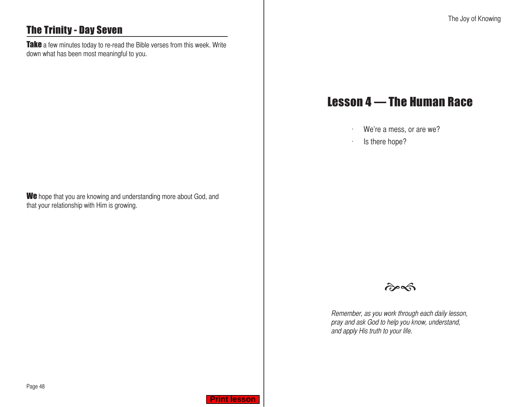# <span id="page-24-0"></span>The Trinity - Day Seven

Take a few minutes today to re-read the Bible verses from this week. Write down what has been most meaningful to you.

We hope that you are knowing and understanding more about God, and that your relationship with Him is growing.

# Lesson 4 — The Human Race

- $W$ e're a mess, or are we?
- $\cdot$  Is there hope?



Remember, as you work through each daily lesson, pray and ask God to help you know, understand, and apply His truth to your life.

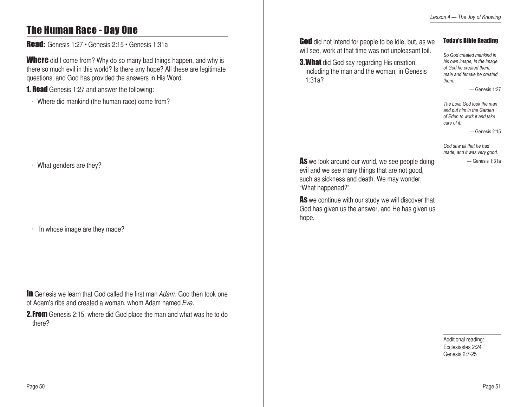# The Human Race - Day One

Read: Genesis 1:27 • Genesis 2:15 • Genesis 1:31a

**Where** did I come from? Why do so many bad things happen, and why is there so much evil in this world? Is there any hope? All these are legitimate questions, and God has provided the answers in His Word.

**1. Read** Genesis 1:27 and answer the following:

Where did mankind (the human race) come from?

### $W$ hat genders are they?

In whose image are they made?

**In** Genesis we learn that God called the first man Adam. God then took one of Adam's ribs and created a woman, whom Adam named Eve.

**2. From** Genesis 2:15, where did God place the man and what was he to do there?

**God** did not intend for people to be idle, but, as we will see, work at that time was not unpleasant toil.

1:31a?

### Today's Bible Reading

**3. What** did God say regarding His creation, including the man and the woman, in Genesis *So God created mankind in his own image, in the image of God he created them; male and female he created them.* 

 $-$  Genesis 1:27

*The Lord God took the man and put him in the Garden of Eden to work it and take care of it.*

— Genesis 2:15

*God saw all that he had made, and it was very good.* — Genesis 1:31a

As we look around our world, we see people doing evil and we see many things that are not good, such as sickness and death. We may wonder, "What happened?"

As we continue with our study we will discover that God has given us the answer, and He has given us hope.

> Additional reading: Ecclesiastes 2:24 Genesis 2:7-25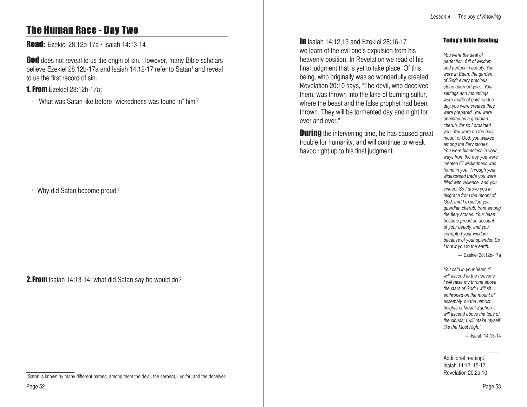# The Human Race - Day Two

Read: Ezekiel 28:12b-17a • Isaiah 14:13-14

God does not reveal to us the origin of sin. However, many Bible scholars believe Ezekiel 28:12b-17a and Isaiah 14:12-17 refer to Satan1 and reveal to us the first record of sin.

### 1. From Ezekiel 28:12b-17a:

 $\cdot$  What was Satan like before "wickedness was found in" him?

 $\cdot$  Why did Satan become proud?

2.From Isaiah 14:13-14, what did Satan say he would do?

**In** Isaiah 14:12.15 and Ezekiel 28:16-17 we learn of the evil one's expulsion from his heavenly position. In Revelation we read of his final judgment that is yet to take place. Of this being, who originally was so wonderfully created, Revelation 20:10 says, "The devil, who deceived them, was thrown into the lake of burning sulfur, where the beast and the false prophet had been thrown. They will be tormented day and night for ever and ever."

**During** the intervening time, he has caused great trouble for humanity, and will continue to wreak havoc right up to his final judgment.

### Today's Bible Reading

*You were the seal of perfection, full of wisdom and perfect in beauty. You were in Eden, the garden of God; every precious stone adorned you…Your settings and mountings were made of gold; on the day you were created they were prepared. You were anointed as a guardian cherub, for so I ordained you. You were on the holy mount of God; you walked among the fiery stones. You were blameless in your ways from the day you were created till wickedness was found in you. Through your widespread trade you were filled with violence, and you sinned. So I drove you in disgrace from the mount of God, and I expelled you, guardian cherub, from among the fiery stones. Your heart became proud on account of your beauty, and you corrupted your wisdom because of your splendor. So I threw you to the earth.*

— Ezekiel 28:12b-17a

*You said in your heart, "I will ascend to the heavens; I will raise my throne above the stars of God; I will sit enthroned on the mount of assembly, on the utmost heights of Mount Zaphon. I will ascend above the tops of the clouds; I will make myself like the Most High."*

— Isaiah 14:13-14

Additional reading: Isaiah 14:12, 15-17 Revelation 20:2a,10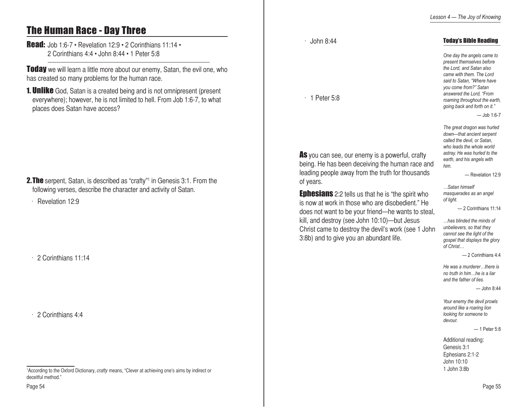# The Human Race - Day Three

### **Read:** Job 1:6-7 • Revelation 12:9 • 2 Corinthians 11:14 • 2 Corinthians 4:4 • John 8:44 • 1 Peter 5:8

**Today** we will learn a little more about our enemy, Satan, the evil one, who has created so many problems for the human race.

**1. Unlike** God, Satan is a created being and is not omnipresent (present everywhere); however, he is not limited to hell. From Job 1:6-7, to what places does Satan have access?

**2.The** serpent, Satan, is described as "crafty"<sup>1</sup> in Genesis 3:1. From the following verses, describe the character and activity of Satan.

 $\cdot$  Revelation 12:9

 $\cdot$  2 Corinthians 11:14

2 Corinthians 4:4

 $\cdot$  John 8:44

 $\cdot$  1 Peter 5:8

As you can see, our enemy is a powerful, crafty being. He has been deceiving the human race and leading people away from the truth for thousands of years.

**Ephesians** 2:2 tells us that he is "the spirit who is now at work in those who are disobedient." He does not want to be your friend—he wants to steal, kill, and destroy (see John 10:10)—but Jesus Christ came to destroy the devil's work (see 1 John 3:8b) and to give you an abundant life.

### Today's Bible Reading

*One day the angels came to present themselves before the Lord, and Satan also came with them. The Lord said to Satan, "Where have you come from?" Satan answered the Lord, "From roaming throughout the earth, going back and forth on it."*

— Job 1:6-7

*The great dragon was hurled down—that ancient serpent called the devil, or Satan, who leads the whole world astray. He was hurled to the earth, and his angels with him.*

— Revelation 12:9

*…Satan himself masquerades as an angel of light.*

— 2 Corinthians 11:14

*…has blinded the minds of unbelievers, so that they cannot see the light of the gospel that displays the glory of Christ…*

— 2 Corinthians 4:4

*He was a murderer…there is no truth in him…he is a liar and the father of lies.*

 $-$ John 8:44

*Your enemy the devil prowls around like a roaring lion looking for someone to devour.*

#### — 1 Peter 5:8

Additional reading: Genesis 3:1 Ephesians 2:1-2 John 10:10 1 John 3:8b

<sup>&</sup>lt;sup>1</sup> According to the Oxford Dictionary, *crafty* means, "Clever at achieving one's aims by indirect or deceitful method."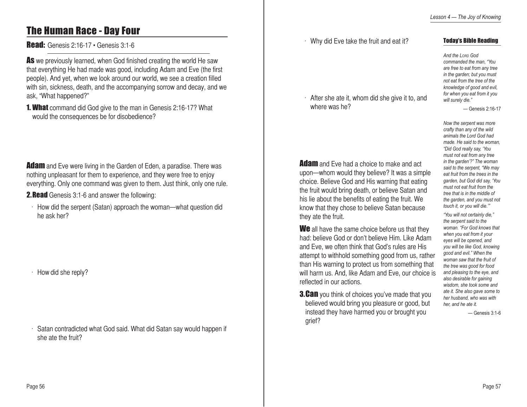# The Human Race - Day Four

**Read:** Genesis 2:16-17 • Genesis 3:1-6

As we previously learned, when God finished creating the world He saw that everything He had made was good, including Adam and Eve (the first people). And yet, when we look around our world, we see a creation filled with sin, sickness, death, and the accompanying sorrow and decay, and we ask, "What happened?"

**1. What** command did God give to the man in Genesis 2:16-17? What would the consequences be for disobedience?

**Adam** and Eve were living in the Garden of Eden, a paradise. There was nothing unpleasant for them to experience, and they were free to enjoy everything. Only one command was given to them. Just think, only one rule.

2.Read Genesis 3:1-6 and answer the following:

 $\cdot$  How did the serpent (Satan) approach the woman—what question did he ask her?

 $·$  How did she reply?

Satan contradicted what God said. What did Satan say would happen if she ate the fruit?

Why did Eve take the fruit and eat it?

### Today's Bible Reading

*And the Lord God commanded the man, "You are free to eat from any tree in the garden; but you must not eat from the tree of the knowledge of good and evil, for when you eat from it you will surely die."*

— Genesis 2:16-17

*Now the serpent was more crafty than any of the wild animals the Lord God had made. He said to the woman, "Did God really say, 'You must not eat from any tree in the garden'?" The woman said to the serpent, "We may eat fruit from the trees in the garden, but God did say, 'You must not eat fruit from the tree that is in the middle of the garden, and you must not touch it, or you will die.'"*

*"You will not certainly die," the serpent said to the woman. "For God knows that when you eat from it your eyes will be opened, and you will be like God, knowing good and evil." When the woman saw that the fruit of the tree was good for food and pleasing to the eye, and also desirable for gaining wisdom, she took some and ate it. She also gave some to her husband, who was with her, and he ate it.*

— Genesis 3:1-6

**Adam** and Eve had a choice to make and act upon—whom would they believe? It was a simple choice. Believe God and His warning that eating the fruit would bring death, or believe Satan and his lie about the benefits of eating the fruit. We know that they chose to believe Satan because they ate the fruit.

 $\cdot$  After she ate it, whom did she give it to, and

where was he?

We all have the same choice before us that they had: believe God or don't believe Him. Like Adam and Eve, we often think that God's rules are His attempt to withhold something good from us, rather than His warning to protect us from something that will harm us. And, like Adam and Eve, our choice is reflected in our actions.

**3.Can** you think of choices you've made that you believed would bring you pleasure or good, but instead they have harmed you or brought you grief?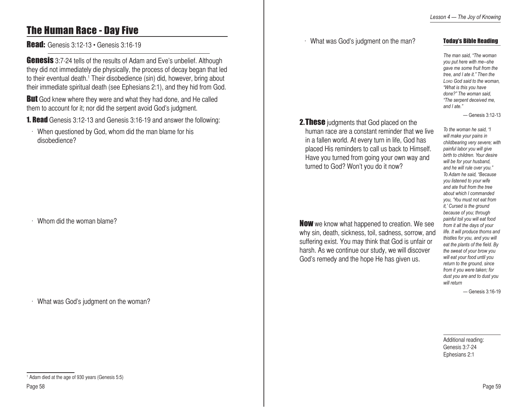# The Human Race - Day Five

**Read:** Genesis 3:12-13 • Genesis 3:16-19

**Genesis** 3:7-24 tells of the results of Adam and Eve's unbelief. Although they did not immediately die physically, the process of decay began that led to their eventual death.<sup>1</sup> Their disobedience (sin) did, however, bring about their immediate spiritual death (see Ephesians 2:1), and they hid from God.

**But** God knew where they were and what they had done, and He called them to account for it; nor did the serpent avoid God's judgment.

**1. Read** Genesis 3:12-13 and Genesis 3:16-19 and answer the following:

When questioned by God, whom did the man blame for his disobedience?

Whom did the woman blame?

 $\cdot$  What was God's judgment on the woman?

**2. These** judgments that God placed on the human race are a constant reminder that we live in a fallen world. At every turn in life, God has placed His reminders to call us back to Himself. Have you turned from going your own way and turned to God? Won't you do it now?

What was God's judgment on the man?

**Now** we know what happened to creation. We see why sin, death, sickness, toil, sadness, sorrow, and suffering exist. You may think that God is unfair or harsh. As we continue our study, we will discover God's remedy and the hope He has given us.

Today's Bible Reading

*The man said, "The woman you put here with me--she gave me some fruit from the tree, and I ate it." Then the Lord God said to the woman, "What is this you have done?" The woman said, "The serpent deceived me, and I ate."*

— Genesis 3:12-13

*To the woman he said, "I will make your pains in childbearing very severe; with painful labor you will give birth to children. Your desire will be for your husband, and he will rule over you." To Adam he said, "Because you listened to your wife and ate fruit from the tree about which I commanded you, 'You must not eat from it,' Cursed is the ground because of you; through painful toil you will eat food from it all the days of your life. It will produce thorns and thistles for you, and you will eat the plants of the field. By the sweat of your brow you will eat your food until you return to the ground, since from it you were taken; for dust you are and to dust you will return*

— Genesis 3:16-19

Additional reading: Genesis 3:7-24 Ephesians 2:1

<sup>1</sup> Adam died at the age of 930 years (Genesis 5:5)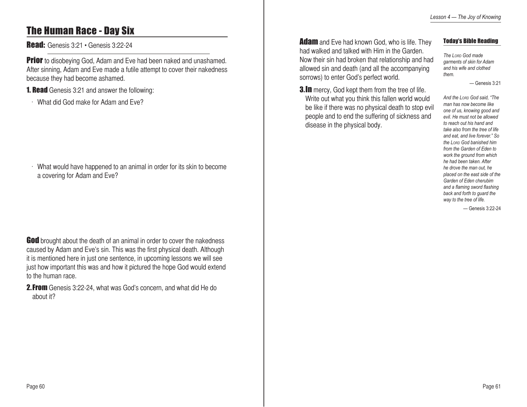# The Human Race - Day Six

Read: Genesis 3:21 • Genesis 3:22-24

**Prior** to disobeying God, Adam and Eve had been naked and unashamed. After sinning, Adam and Eve made a futile attempt to cover their nakedness because they had become ashamed.

**1. Read** Genesis 3:21 and answer the following:

w What did God make for Adam and Eve?

 $\cdot$  What would have happened to an animal in order for its skin to become a covering for Adam and Eve?

God brought about the death of an animal in order to cover the nakedness caused by Adam and Eve's sin. This was the first physical death. Although it is mentioned here in just one sentence, in upcoming lessons we will see just how important this was and how it pictured the hope God would extend to the human race.

2.From Genesis 3:22-24, what was God's concern, and what did He do about it?

**Adam** and Eve had known God, who is life. They had walked and talked with Him in the Garden. Now their sin had broken that relationship and had allowed sin and death (and all the accompanying sorrows) to enter God's perfect world.

**3.In** mercy, God kept them from the tree of life. Write out what you think this fallen world would be like if there was no physical death to stop evil people and to end the suffering of sickness and

disease in the physical body.

#### Today's Bible Reading

*The Lord God made garments of skin for Adam and his wife and clothed them.* 

— Genesis 3:21

*And the Lord God said, "The man has now become like one of us, knowing good and evil. He must not be allowed to reach out his hand and take also from the tree of life and eat, and live forever." So the Lord God banished him from the Garden of Eden to work the ground from which he had been taken. After he drove the man out, he placed on the east side of the Garden of Eden cherubim and a flaming sword flashing back and forth to guard the way to the tree of life.*

— Genesis 3:22-24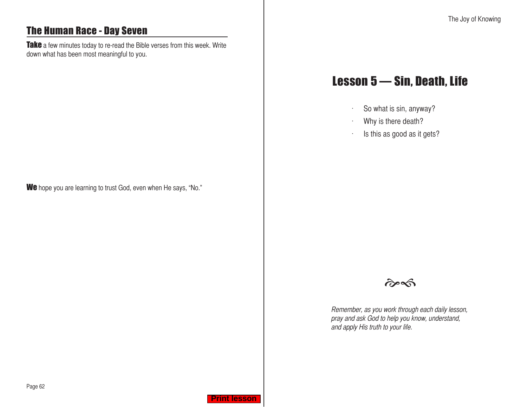# <span id="page-31-0"></span>The Human Race - Day Seven

Take a few minutes today to re-read the Bible verses from this week. Write down what has been most meaningful to you.

We hope you are learning to trust God, even when He says, "No."

# Lesson 5 — Sin, Death, Life

- $\cdot$  So what is sin, anyway?
- Why is there death?
- $\cdot$  Is this as good as it gets?



Remember, as you work through each daily lesson, pray and ask God to help you know, understand, and apply His truth to your life.

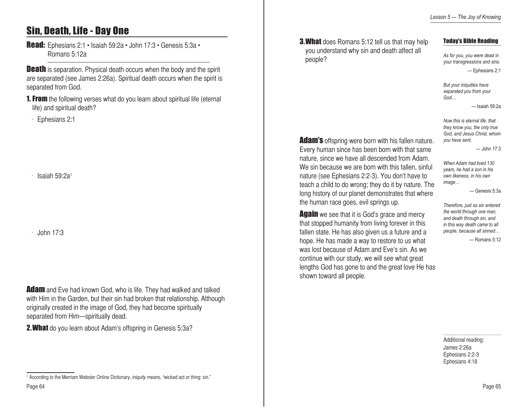# Sin, Death, Life - Day One

Read: Ephesians 2:1 • Isaiah 59:2a • John 17:3 • Genesis 5:3a • Romans 5:12a

**Death** is separation. Physical death occurs when the body and the spirit are separated (see James 2:26a). Spiritual death occurs when the spirit is separated from God.

**1. From** the following verses what do you learn about spiritual life (eternal life) and spiritual death?

Ephesians 2:1

Isaiah  $59:2a<sup>1</sup>$ 

 $John 17:3$ 

**Adam** and Eve had known God, who is life. They had walked and talked with Him in the Garden, but their sin had broken that relationship. Although originally created in the image of God, they had become spiritually separated from Him—spiritually dead.

**2. What** do you learn about Adam's offspring in Genesis 5:3a?

**3. What** does Romans 5:12 tell us that may help you understand why sin and death affect all people?

**Adam's** offspring were born with his fallen nature. Every human since has been born with that same nature, since we have all descended from Adam. We sin because we are born with this fallen, sinful nature (see Ephesians 2:2-3). You don't have to teach a child to do wrong; they do it by nature. The long history of our planet demonstrates that where

the human race goes, evil springs up.

shown toward all people.

**Again** we see that it is God's grace and mercy that stopped humanity from living forever in this fallen state. He has also given us a future and a hope. He has made a way to restore to us what was lost because of Adam and Eve's sin. As we continue with our study, we will see what great lengths God has gone to and the great love He has

### Today's Bible Reading

*As for you, you were dead in your transgressions and sins.* — Ephesians 2:1

*But your iniquities have separated you from your God…*

— Isaiah 59:2a

*Now this is eternal life: that they know you, the only true God, and Jesus Christ, whom you have sent.*

 $-$ John 17:3

*When Adam had lived 130 years, he had a son in his own likeness, in his own image…*

— Genesis 5:3a

*Therefore, just as sin entered the world through one man, and death through sin, and in this way death came to all people, because all sinned…*

— Romans 5:12

Additional reading: James 2:26a Ephesians 2:2-3 Ephesians 4:18

<sup>&</sup>lt;sup>1</sup> According to the Merriam Webster Online Dictionary, *iniquity* means, "wicked act or thing: sin."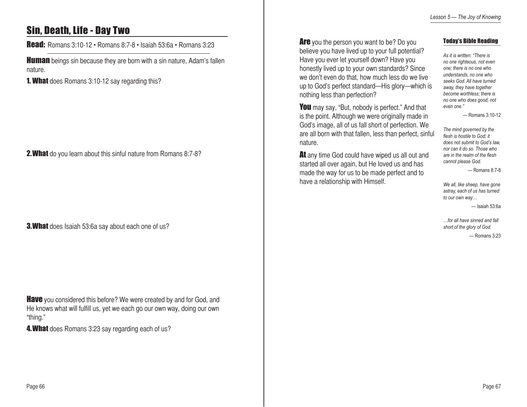# Sin, Death, Life - Day Two

Read: Romans 3:10-12 • Romans 8:7-8 • Isaiah 53:6a • Romans 3:23

**Human** beings sin because they are born with a sin nature, Adam's fallen nature.

**1. What** does Romans 3:10-12 say regarding this?

2. What do you learn about this sinful nature from Romans 8:7-8?

**3. What** does Isaiah 53:6a say about each one of us?

**Have** you considered this before? We were created by and for God, and He knows what will fulfill us, yet we each go our own way, doing our own "thing."

4. What does Romans 3:23 say regarding each of us?

Are you the person you want to be? Do you believe you have lived up to your full potential? Have you ever let yourself down? Have you honestly lived up to your own standards? Since we don't even do that, how much less do we live up to God's perfect standard—His glory—which is nothing less than perfection?

You may say, "But, nobody is perfect." And that is the point. Although we were originally made in God's image, all of us fall short of perfection. We are all born with that fallen, less than perfect, sinful nature.

At any time God could have wiped us all out and started all over again, but He loved us and has made the way for us to be made perfect and to have a relationship with Himself.

#### Today's Bible Reading

*As it is written: "There is no one righteous, not even one; there is no one who understands, no one who seeks God. All have turned away, they have together become worthless; there is no one who does good, not even one."* 

— Romans 3:10-12

*The mind governed by the flesh is hostile to God; it does not submit to God's law, nor can it do so. Those who are in the realm of the flesh cannot please God.*

— Romans 8:7-8

*We all, like sheep, have gone astray, each of us has turned to our own way…*

— Isaiah 53:6a

*…for all have sinned and fall short of the glory of God.*

— Romans 3:23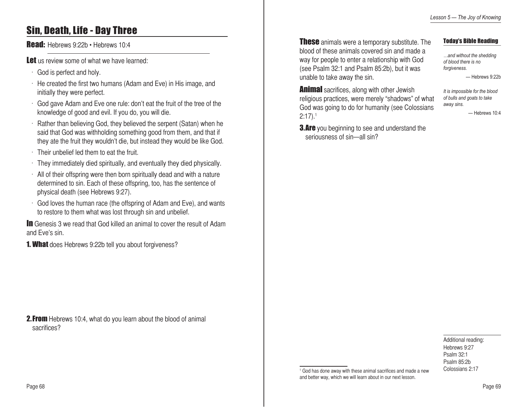### Sin, Death, Life - Day Three

Read: Hebrews 9:22b · Hebrews 10:4

Let us review some of what we have learned:

- $\cdot$  God is perfect and holy.
- $\cdot$  He created the first two humans (Adam and Eve) in His image, and initially they were perfect.
- $\cdot$  God gave Adam and Eve one rule: don't eat the fruit of the tree of the knowledge of good and evil. If you do, you will die.
- $\cdot$  Rather than believing God, they believed the serpent (Satan) when he said that God was withholding something good from them, and that if they ate the fruit they wouldn't die, but instead they would be like God.
- $\cdot$  Their unbelief led them to eat the fruit.
- $\cdot$  They immediately died spiritually, and eventually they died physically.
- $\cdot$  All of their offspring were then born spiritually dead and with a nature determined to sin. Each of these offspring, too, has the sentence of physical death (see Hebrews 9:27).
- $\cdot$  God loves the human race (the offspring of Adam and Eve), and wants to restore to them what was lost through sin and unbelief.

In Genesis 3 we read that God killed an animal to cover the result of Adam and Eve's sin.

**1. What** does Hebrews 9:22b tell you about forgiveness?

**2. From** Hebrews 10:4, what do you learn about the blood of animal sacrifices?

**These** animals were a temporary substitute. The blood of these animals covered sin and made a way for people to enter a relationship with God (see Psalm 32:1 and Psalm 85:2b), but it was unable to take away the sin.

### Today's Bible Reading

*…and without the shedding of blood there is no forgiveness.* — Hebrews 9:22b

**Animal** sacrifices, along with other Jewish religious practices, were merely "shadows" of what God was going to do for humanity (see Colossians  $2:17$ ).<sup>1</sup>

**3.Are** you beginning to see and understand the seriousness of sin—all sin?

*It is impossible for the blood of bulls and goats to take away sins.* — Hebrews 10:4

Additional reading: Hebrews 9:27 Psalm 32:1 Psalm 85:2b Colossians 2:17

<sup>1</sup> God has done away with these animal sacrifices and made a new and better way, which we will learn about in our next lesson.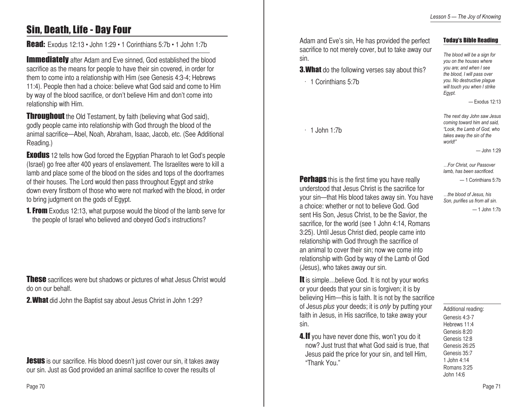# Sin, Death, Life - Day Four

Read: Exodus 12:13 • John 1:29 • 1 Corinthians 5:7b • 1 John 1:7b

**Immediately** after Adam and Eve sinned, God established the blood sacrifice as the means for people to have their sin covered, in order for them to come into a relationship with Him (see Genesis 4:3-4; Hebrews 11:4). People then had a choice: believe what God said and come to Him by way of the blood sacrifice, or don't believe Him and don't come into relationship with Him.

**Throughout** the Old Testament, by faith (believing what God said), godly people came into relationship with God through the blood of the animal sacrifice—Abel, Noah, Abraham, Isaac, Jacob, etc. (See Additional Reading.)

**Exodus** 12 tells how God forced the Egyptian Pharaoh to let God's people (Israel) go free after 400 years of enslavement. The Israelites were to kill a lamb and place some of the blood on the sides and tops of the doorframes of their houses. The Lord would then pass throughout Egypt and strike down every firstborn of those who were not marked with the blood, in order to bring judgment on the gods of Egypt.

**1. From** Exodus 12:13, what purpose would the blood of the lamb serve for the people of Israel who believed and obeyed God's instructions?

**These** sacrifices were but shadows or pictures of what Jesus Christ would do on our behalf.

2.What did John the Baptist say about Jesus Christ in John 1:29?

**Jesus** is our sacrifice. His blood doesn't just cover our sin, it takes away our sin. Just as God provided an animal sacrifice to cover the results of

Adam and Eve's sin, He has provided the perfect sacrifice to not merely cover, but to take away our sin.

**3. What** do the following verses say about this?

 $\cdot$  1 Corinthians 5:7b

 $\cdot$  1 John 1:7b

**Perhaps** this is the first time you have really understood that Jesus Christ is the sacrifice for your sin—that His blood takes away sin. You have a choice: whether or not to believe God. God sent His Son, Jesus Christ, to be the Savior, the sacrifice, for the world (see 1 John 4:14, Romans 3:25). Until Jesus Christ died, people came into relationship with God through the sacrifice of an animal to cover their sin; now we come into relationship with God by way of the Lamb of God (Jesus), who takes away our sin.

It is simple...believe God. It is not by your works or your deeds that your sin is forgiven; it is by believing Him—this is faith. It is not by the sacrifice of Jesus *plus* your deeds; it is *only* by putting your faith in Jesus, in His sacrifice, to take away your sin.

4. If you have never done this, won't you do it now? Just trust that what God said is true, that Jesus paid the price for your sin, and tell Him, "Thank You."

*The blood will be a sign for you on the houses where you are; and when I see the blood, I will pass over you. No destructive plague* 

*will touch you when I strike* 

*Egypt.*

Today's Bible Reading

— Exodus 12:13

*The next day John saw Jesus coming toward him and said, "Look, the Lamb of God, who takes away the sin of the world!"*

— John 1:29

*…For Christ, our Passover lamb, has been sacrificed.*

— 1 Corinthians 5:7b

*…the blood of Jesus, his Son, purifies us from all sin.* — 1 John 1:7b

Additional reading:

Genesis 4:3-7 Hebrews 11:4 Genesis 8:20 Genesis 12:8 Genesis 26:25 Genesis 35:7 1 John 4:14 Romans 3:25 John 14:6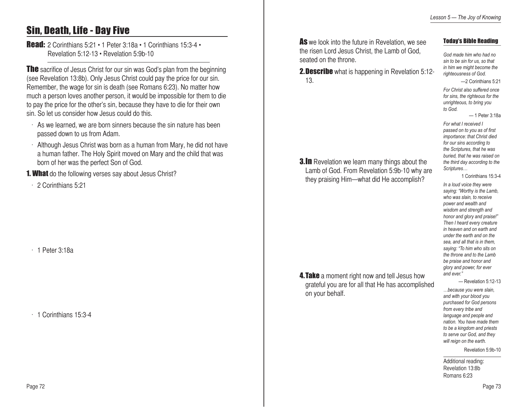# Sin, Death, Life - Day Five

Read: 2 Corinthians 5:21 • 1 Peter 3:18a • 1 Corinthians 15:3-4 • Revelation 5:12-13 • Revelation 5:9b-10

**The** sacrifice of Jesus Christ for our sin was God's plan from the beginning (see Revelation 13:8b). Only Jesus Christ could pay the price for our sin. Remember, the wage for sin is death (see Romans 6:23). No matter how much a person loves another person, it would be impossible for them to die to pay the price for the other's sin, because they have to die for their own sin. So let us consider how Jesus could do this.

- $\cdot$  As we learned, we are born sinners because the sin nature has been passed down to us from Adam.
- $\cdot$  Although Jesus Christ was born as a human from Mary, he did not have a human father. The Holy Spirit moved on Mary and the child that was born of her was the perfect Son of God.

**1. What** do the following verses say about Jesus Christ?

 $\cdot$  2 Corinthians 5:21

 $\cdot$  1 Peter 3:18a

1 Corinthians 15:3-4

As we look into the future in Revelation, we see the risen Lord Jesus Christ, the Lamb of God, seated on the throne.

**2. Describe** what is happening in Revelation 5:12-13.

**3.In** Revelation we learn many things about the Lamb of God. From Revelation 5:9b-10 why are they praising Him—what did He accomplish?

**4. Take** a moment right now and tell Jesus how grateful you are for all that He has accomplished on your behalf.

Today's Bible Reading

*God made him who had no sin to be sin for us, so that in him we might become the righteousness of God.*

—2 Corinthians 5:21

*For Christ also suffered once for sins, the righteous for the unrighteous, to bring you to God.*

— 1 Peter 3:18a

*For what I received I passed on to you as of first importance: that Christ died for our sins according to the Scriptures, that he was buried, that he was raised on the third day according to the Scriptures…*

1 Corinthians 15:3-4

*In a loud voice they were saying: "Worthy is the Lamb, who was slain, to receive power and wealth and wisdom and strength and honor and glory and praise!" Then I heard every creature in heaven and on earth and under the earth and on the sea, and all that is in them, saying: "To him who sits on the throne and to the Lamb be praise and honor and glory and power, for ever and ever."* 

— Revelation 5:12-13

*…because you were slain, and with your blood you purchased for God persons from every tribe and language and people and nation. You have made them to be a kingdom and priests to serve our God, and they will reign on the earth.*

Revelation 5:9b-10

Additional reading: Revelation 13:8b Romans 6:23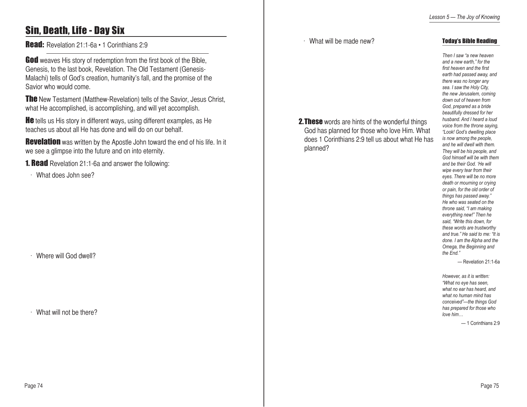Today's Bible Reading

*Then I saw "a new heaven and a new earth," for the* 

# Sin, Death, Life - Day Six

Read: Revelation 21:1-6a · 1 Corinthians 2:9

God weaves His story of redemption from the first book of the Bible, Genesis, to the last book, Revelation. The Old Testament (Genesis-Malachi) tells of God's creation, humanity's fall, and the promise of the Savior who would come.

**The** New Testament (Matthew-Revelation) tells of the Savior, Jesus Christ, what He accomplished, is accomplishing, and will yet accomplish.

**He** tells us His story in different ways, using different examples, as He teaches us about all He has done and will do on our behalf.

**Revelation** was written by the Apostle John toward the end of his life. In it we see a glimpse into the future and on into eternity.

**1. Read** Revelation 21:1-6a and answer the following:

 $\cdot$  What does John see?

. Where will God dwell?

 $\cdot$  What will not be there?

**2. These** words are hints of the wonderful things God has planned for those who love Him. What does 1 Corinthians 2:9 tell us about what He has planned?

*first heaven and the first earth had passed away, and there was no longer any sea. I saw the Holy City, the new Jerusalem, coming down out of heaven from God, prepared as a bride beautifully dressed for her husband. And I heard a loud voice from the throne saying, "Look! God's dwelling place is now among the people, and he will dwell with them. They will be his people, and God himself will be with them and be their God. 'He will wipe every tear from their eyes. There will be no more death or mourning or crying or pain, for the old order of things has passed away." He who was seated on the throne said, "I am making everything new!" Then he said, "Write this down, for these words are trustworthy and true." He said to me: "It is done. I am the Alpha and the Omega, the Beginning and the End."* 

— Revelation 21:1-6a

*However, as it is written: "What no eye has seen, what no ear has heard, and what no human mind has conceived"—the things God has prepared for those who love him…*

— 1 Corinthians 2:9

### $\cdot$  What will be made new?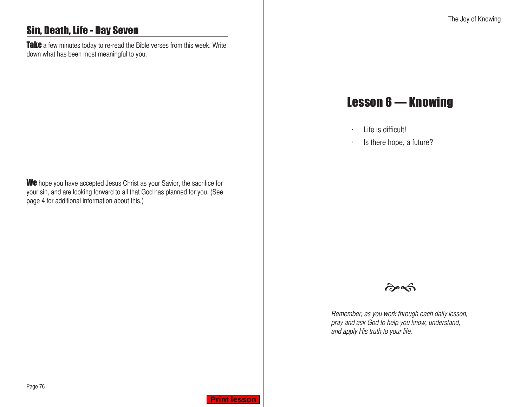# <span id="page-38-0"></span>Sin, Death, Life - Day Seven

Take a few minutes today to re-read the Bible verses from this week. Write down what has been most meaningful to you.

We hope you have accepted Jesus Christ as your Savior, the sacrifice for your sin, and are looking forward to all that God has planned for you. (See page 4 for additional information about this.)

# Lesson 6 — Knowing

- $\cdot$  Life is difficult!
- $\cdot$  Is there hope, a future?



Remember, as you work through each daily lesson, pray and ask God to help you know, understand, and apply His truth to your life.

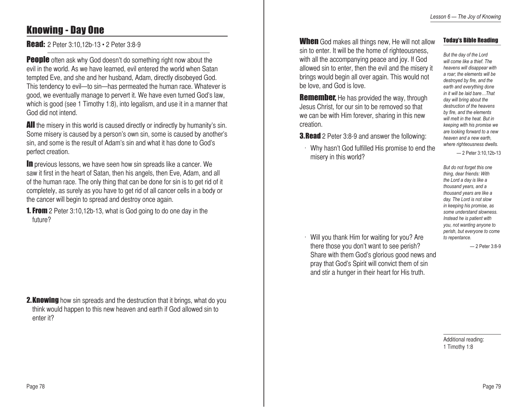*But the day of the Lord* 

Today's Bible Reading

# Knowing - Day One

**Read:** 2 Peter 3:10,12b-13 • 2 Peter 3:8-9

**People** often ask why God doesn't do something right now about the evil in the world. As we have learned, evil entered the world when Satan tempted Eve, and she and her husband, Adam, directly disobeyed God. This tendency to evil—to sin—has permeated the human race. Whatever is good, we eventually manage to pervert it. We have even turned God's law, which is good (see 1 Timothy 1:8), into legalism, and use it in a manner that God did not intend.

**All** the misery in this world is caused directly or indirectly by humanity's sin. Some misery is caused by a person's own sin, some is caused by another's sin, and some is the result of Adam's sin and what it has done to God's perfect creation.

**In** previous lessons, we have seen how sin spreads like a cancer. We saw it first in the heart of Satan, then his angels, then Eve, Adam, and all of the human race. The only thing that can be done for sin is to get rid of it completely, as surely as you have to get rid of all cancer cells in a body or the cancer will begin to spread and destroy once again.

**1. From** 2 Peter 3:10,12b-13, what is God going to do one day in the future?

**2. Knowing** how sin spreads and the destruction that it brings, what do you think would happen to this new heaven and earth if God allowed sin to enter it?

**When** God makes all things new, He will not allow sin to enter. It will be the home of righteousness, with all the accompanying peace and joy. If God allowed sin to enter, then the evil and the misery it brings would begin all over again. This would not be love, and God is love.

**Remember,** He has provided the way, through Jesus Christ, for our sin to be removed so that we can be with Him forever, sharing in this new creation.

**3. Read** 2 Peter 3:8-9 and answer the following:

 $\cdot$  Why hasn't God fulfilled His promise to end the misery in this world?

*will come like a thief. The heavens will disappear with a roar; the elements will be destroyed by fire, and the earth and everything done in it will be laid bare…That day will bring about the destruction of the heavens by fire, and the elements will melt in the heat. But in keeping with his promise we are looking forward to a new heaven and a new earth, where righteousness dwells.*

— 2 Peter 3:10,12b-13

*But do not forget this one thing, dear friends: With the Lord a day is like a thousand years, and a thousand years are like a day. The Lord is not slow in keeping his promise, as some understand slowness. Instead he is patient with you, not wanting anyone to perish, but everyone to come to repentance.*

 $\cdot$  Will you thank Him for waiting for you? Are there those you don't want to see perish? Share with them God's glorious good news and pray that God's Spirit will convict them of sin and stir a hunger in their heart for His truth.

— 2 Peter 3:8-9

Additional reading: 1 Timothy 1:8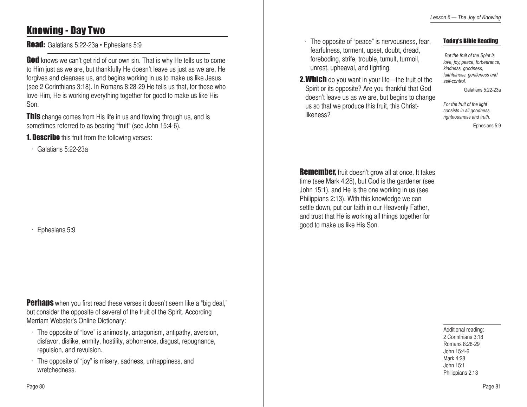# Knowing - Day Two

Read: Galatians 5:22-23a · Ephesians 5:9

**God** knows we can't get rid of our own sin. That is why He tells us to come to Him just as we are, but thankfully He doesn't leave us just as we are. He forgives and cleanses us, and begins working in us to make us like Jesus (see 2 Corinthians 3:18). In Romans 8:28-29 He tells us that, for those who love Him, He is working everything together for good to make us like His Son.

**This** change comes from His life in us and flowing through us, and is sometimes referred to as bearing "fruit" (see John 15:4-6).

**1. Describe** this fruit from the following verses:

 $\cdot$  Galatians 5:22-23a

Ephesians 5:9

**Perhaps** when you first read these verses it doesn't seem like a "big deal," but consider the opposite of several of the fruit of the Spirit. According Merriam Webster's Online Dictionary:

- · The opposite of "love" is animosity, antagonism, antipathy, aversion, disfavor, dislike, enmity, hostility, abhorrence, disgust, repugnance, repulsion, and revulsion.
- $\cdot$  The opposite of "joy" is misery, sadness, unhappiness, and wretchedness.

 $\cdot$  The opposite of "peace" is nervousness, fear, fearfulness, torment, upset, doubt, dread, foreboding, strife, trouble, tumult, turmoil, unrest, upheaval, and fighting.

2. Which do you want in your life—the fruit of the Spirit or its opposite? Are you thankful that God doesn't leave us as we are, but begins to change us so that we produce this fruit, this Christ-

likeness?

### Today's Bible Reading

 *But the fruit of the Spirit is love, joy, peace, forbearance, kindness, goodness, faithfulness, gentleness and self-control.* 

Galatians 5:22-23a

*For the fruit of the light consists in all goodness, righteousness and truth.*

Ephesians 5:9

**Remember,** fruit doesn't grow all at once. It takes time (see Mark 4:28), but God is the gardener (see John 15:1), and He is the one working in us (see Philippians 2:13). With this knowledge we can settle down, put our faith in our Heavenly Father, and trust that He is working all things together for good to make us like His Son.

> Additional reading: 2 Corinthians 3:18 Romans 8:28-29 John 15:4-6 Mark 4:28 John 15:1 Philippians 2:13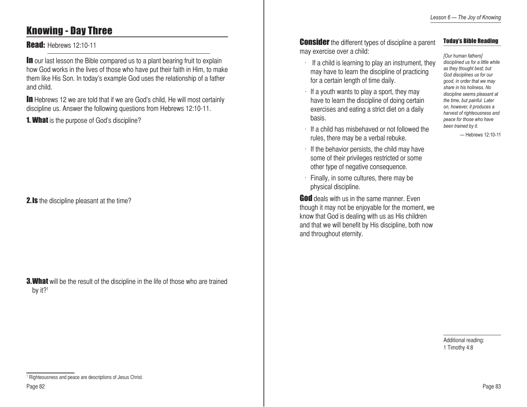## Knowing - Day Three

### **Read: Hebrews 12:10-11**

**In** our last lesson the Bible compared us to a plant bearing fruit to explain how God works in the lives of those who have put their faith in Him, to make them like His Son. In today's example God uses the relationship of a father and child.

**In** Hebrews 12 we are told that if we are God's child, He will most certainly discipline us. Answer the following questions from Hebrews 12:10-11.

**1. What** is the purpose of God's discipline?

**2.Is** the discipline pleasant at the time?

**3. What** will be the result of the discipline in the life of those who are trained by it?<sup>1</sup>

**Consider** the different types of discipline a parent may exercise over a child:

### Today's Bible Reading

- $\cdot$  If a child is learning to play an instrument, they may have to learn the discipline of practicing for a certain length of time daily.
- $\cdot$  If a youth wants to play a sport, they may have to learn the discipline of doing certain exercises and eating a strict diet on a daily basis.
- $\cdot$  If a child has misbehaved or not followed the rules, there may be a verbal rebuke.
- $\cdot$  If the behavior persists, the child may have some of their privileges restricted or some other type of negative consequence.
- $\cdot$  Finally, in some cultures, there may be physical discipline.

**God** deals with us in the same manner. Even though it may not be enjoyable for the moment, we know that God is dealing with us as His children and that we will benefit by His discipline, both now and throughout eternity.

*[Our human fathers] disciplined us for a little while as they thought best; but God disciplines us for our good, in order that we may share in his holiness. No discipline seems pleasant at the time, but painful. Later on, however, it produces a harvest of righteousness and peace for those who have been trained by it.*

— Hebrews 12:10-11

Additional reading: 1 Timothy 4:8

<sup>&</sup>lt;sup>1</sup> Righteousness and peace are descriptions of Jesus Christ.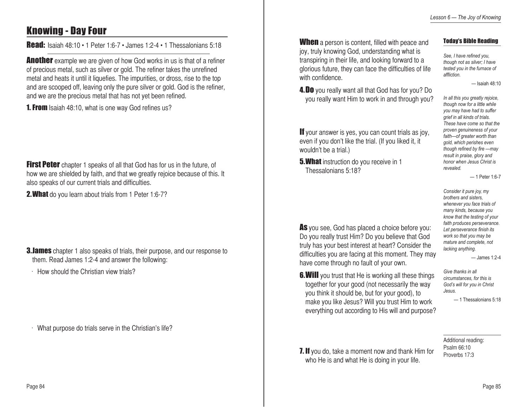Today's Bible Reading

*In all this you greatly rejoice, though now for a little while you may have had to suffer grief in all kinds of trials. These have come so that the proven genuineness of your faith—of greater worth than gold, which perishes even though refined by fire —may result in praise, glory and honor when Jesus Christ is* 

— Isaiah 48:10

*See, I have refined you, though not as silver; I have tested you in the furnace of* 

*affliction.*

*revealed.*

### Knowing - Day Four

Read: Isaiah 48:10 • 1 Peter 1:6-7 • James 1:2-4 • 1 Thessalonians 5:18

**Another** example we are given of how God works in us is that of a refiner of precious metal, such as silver or gold. The refiner takes the unrefined metal and heats it until it liquefies. The impurities, or dross, rise to the top and are scooped off, leaving only the pure silver or gold. God is the refiner, and we are the precious metal that has not yet been refined.

**1. From** Isaiah 48:10, what is one way God refines us?

First Peter chapter 1 speaks of all that God has for us in the future, of how we are shielded by faith, and that we greatly rejoice because of this. It also speaks of our current trials and difficulties.

2. What do you learn about trials from 1 Peter 1:6-7?

**3. James** chapter 1 also speaks of trials, their purpose, and our response to them. Read James 1:2-4 and answer the following:

 $\cdot$  How should the Christian view trials?

What purpose do trials serve in the Christian's life?

**When** a person is content, filled with peace and joy, truly knowing God, understanding what is transpiring in their life, and looking forward to a glorious future, they can face the difficulties of life with confidence.

4. Do you really want all that God has for you? Do you really want Him to work in and through you?

If your answer is yes, you can count trials as joy, even if you don't like the trial. (If you liked it, it wouldn't be a trial.)

As you see, God has placed a choice before you: Do you really trust Him? Do you believe that God truly has your best interest at heart? Consider the difficulties you are facing at this moment. They may

**6. Will** you trust that He is working all these things together for your good (not necessarily the way you think it should be, but for your good), to make you like Jesus? Will you trust Him to work everything out according to His will and purpose?

have come through no fault of your own.

**5. What** instruction do you receive in 1 Thessalonians 5:18?

> *Consider it pure joy, my brothers and sisters, whenever you face trials of many kinds, because you know that the testing of your faith produces perseverance. Let perseverance finish its work so that you may be mature and complete, not lacking anything.*

> > — James 1:2-4

— 1 Peter 1:6-7

*Give thanks in all circumstances, for this is God's will for you in Christ Jesus.*

— 1 Thessalonians 5:18

#### Additional reading: Psalm 66:10 Proverbs 17:3

**7. If** you do, take a moment now and thank Him for who He is and what He is doing in your life.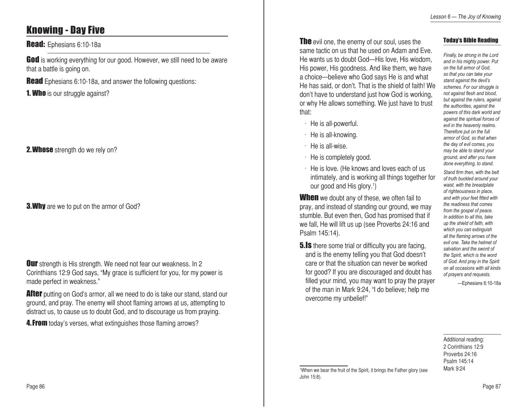# Knowing - Day Five

### Read: Ephesians 6:10-18a

God is working everything for our good. However, we still need to be aware that a battle is going on.

**Read** Ephesians 6:10-18a, and answer the following questions:

**1. Who** is our struggle against?

### **2. Whose** strength do we rely on?

**3. Why** are we to put on the armor of God?

**Our** strength is His strength. We need not fear our weakness. In 2 Corinthians 12:9 God says, "My grace is sufficient for you, for my power is made perfect in weakness."

**After** putting on God's armor, all we need to do is take our stand, stand our ground, and pray. The enemy will shoot flaming arrows at us, attempting to distract us, to cause us to doubt God, and to discourage us from praying.

**4. From** today's verses, what extinguishes those flaming arrows?

**The** evil one, the enemy of our soul, uses the same tactic on us that he used on Adam and Eve. He wants us to doubt God—His love, His wisdom, His power, His goodness. And like them, we have a choice—believe who God says He is and what He has said, or don't. That is the shield of faith! We don't have to understand just how God is working, or why He allows something. We just have to trust that:

- $\cdot$  He is all-powerful.
- $\cdot$  He is all-knowing.
- $\cdot$  He is all-wise.
- $\cdot$  He is completely good.
- $\cdot$  He is love. (He knows and loves each of us intimately, and is working all things together for our good and His glory.<sup>1</sup>)

**When** we doubt any of these, we often fail to pray, and instead of standing our ground, we may stumble. But even then, God has promised that if we fall, He will lift us up (see Proverbs 24:16 and Psalm 145:14).

**5.Is** there some trial or difficulty you are facing, and is the enemy telling you that God doesn't care or that the situation can never be worked for good? If you are discouraged and doubt has filled your mind, you may want to pray the prayer of the man in Mark 9:24, "I do believe; help me overcome my unbelief!"

### Today's Bible Reading

*Finally, be strong in the Lord and in his mighty power. Put on the full armor of God, so that you can take your stand against the devil's schemes. For our struggle is not against flesh and blood, but against the rulers, against the authorities, against the powers of this dark world and against the spiritual forces of evil in the heavenly realms. Therefore put on the full armor of God, so that when the day of evil comes, you may be able to stand your ground, and after you have done everything, to stand.* 

*Stand firm then, with the belt of truth buckled around your waist, with the breastplate of righteousness in place, and with your feet fitted with the readiness that comes from the gospel of peace. In addition to all this, take up the shield of faith, with which you can extinguish all the flaming arrows of the evil one. Take the helmet of salvation and the sword of the Spirit, which is the word of God. And pray in the Spirit on all occasions with all kinds of prayers and requests.*

—Ephesians 6:10-18a

Additional reading: 2 Corinthians 12:9 Proverbs 24:16 Psalm 145:14 Mark 9:24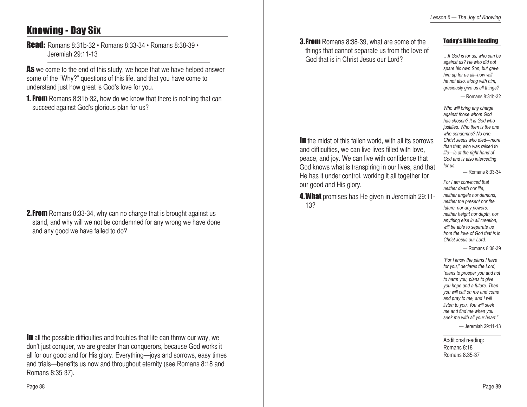# Knowing - Day Six

Read: Romans 8:31b-32 • Romans 8:33-34 • Romans 8:38-39 • Jeremiah 29:11-13

As we come to the end of this study, we hope that we have helped answer some of the "Why?" questions of this life, and that you have come to understand just how great is God's love for you.

**1. From** Romans 8:31b-32, how do we know that there is nothing that can succeed against God's glorious plan for us?

**2. From** Romans 8:33-34, why can no charge that is brought against us stand, and why will we not be condemned for any wrong we have done and any good we have failed to do?

**In** all the possible difficulties and troubles that life can throw our way, we don't just conquer, we are greater than conquerors, because God works it all for our good and for His glory. Everything—joys and sorrows, easy times and trials—benefits us now and throughout eternity (see Romans 8:18 and Romans 8:35-37).

**3. From** Romans 8:38-39, what are some of the things that cannot separate us from the love of God that is in Christ Jesus our Lord?

In the midst of this fallen world, with all its sorrows and difficulties, we can live lives filled with love, peace, and joy. We can live with confidence that God knows what is transpiring in our lives, and that He has it under control, working it all together for

4.What promises has He given in Jeremiah 29:11-

our good and His glory.

13?

### Today's Bible Reading

*…If God is for us, who can be against us? He who did not spare his own Son, but gave him up for us all--how will he not also, along with him, graciously give us all things?* — Romans 8:31b-32

*Who will bring any charge against those whom God has chosen? It is God who justifies. Who then is the one who condemns? No one. Christ Jesus who died—more than that, who was raised to life—is at the right hand of God and is also interceding for us.* 

— Romans 8:33-34

*For I am convinced that neither death nor life, neither angels nor demons, neither the present nor the future, nor any powers, neither height nor depth, nor anything else in all creation, will be able to separate us from the love of God that is in Christ Jesus our Lord.*

— Romans 8:38-39

*"For I know the plans I have for you," declares the Lord, "plans to prosper you and not to harm you, plans to give you hope and a future. Then you will call on me and come and pray to me, and I will listen to you. You will seek me and find me when you seek me with all your heart."*

— Jeremiah 29:11-13

Additional reading: Romans 8:18 Romans 8:35-37